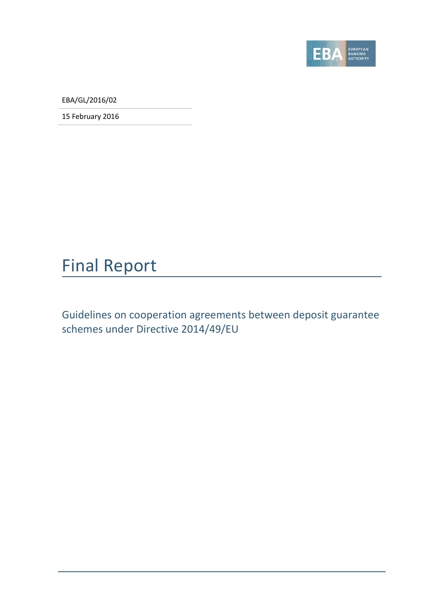

EBA/GL/2016/02

15 February 2016

# Final Report

Guidelines on cooperation agreements between deposit guarantee schemes under Directive 2014/49/EU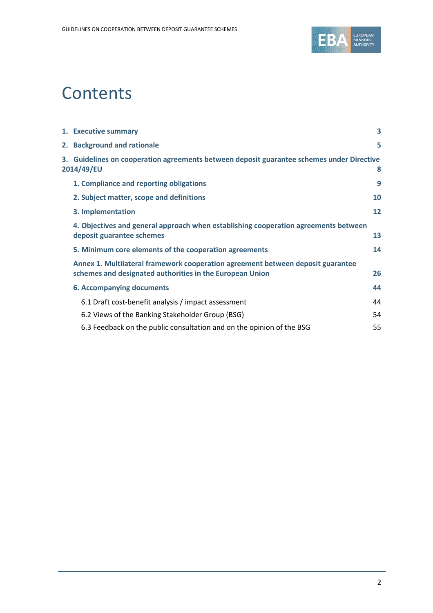

# **Contents**

|  | 1. Executive summary                                                                                                                        | 3  |
|--|---------------------------------------------------------------------------------------------------------------------------------------------|----|
|  | 2. Background and rationale                                                                                                                 | 5  |
|  | 3. Guidelines on cooperation agreements between deposit guarantee schemes under Directive<br>2014/49/EU                                     | 8  |
|  | 1. Compliance and reporting obligations                                                                                                     | 9  |
|  | 2. Subject matter, scope and definitions                                                                                                    | 10 |
|  | 3. Implementation                                                                                                                           | 12 |
|  | 4. Objectives and general approach when establishing cooperation agreements between<br>deposit guarantee schemes                            | 13 |
|  | 5. Minimum core elements of the cooperation agreements                                                                                      | 14 |
|  | Annex 1. Multilateral framework cooperation agreement between deposit guarantee<br>schemes and designated authorities in the European Union | 26 |
|  | <b>6. Accompanying documents</b>                                                                                                            | 44 |
|  | 6.1 Draft cost-benefit analysis / impact assessment                                                                                         | 44 |
|  | 6.2 Views of the Banking Stakeholder Group (BSG)                                                                                            | 54 |
|  | 6.3 Feedback on the public consultation and on the opinion of the BSG                                                                       | 55 |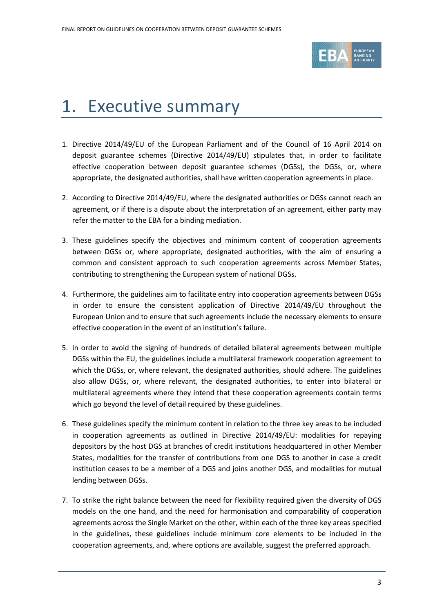

# <span id="page-2-0"></span>1. Executive summary

- 1. Directive 2014/49/EU of the European Parliament and of the Council of 16 April 2014 on deposit guarantee schemes (Directive 2014/49/EU) stipulates that, in order to facilitate effective cooperation between deposit guarantee schemes (DGSs), the DGSs, or, where appropriate, the designated authorities, shall have written cooperation agreements in place.
- 2. According to Directive 2014/49/EU, where the designated authorities or DGSs cannot reach an agreement, or if there is a dispute about the interpretation of an agreement, either party may refer the matter to the EBA for a binding mediation.
- 3. These guidelines specify the objectives and minimum content of cooperation agreements between DGSs or, where appropriate, designated authorities, with the aim of ensuring a common and consistent approach to such cooperation agreements across Member States, contributing to strengthening the European system of national DGSs.
- 4. Furthermore, the guidelines aim to facilitate entry into cooperation agreements between DGSs in order to ensure the consistent application of Directive 2014/49/EU throughout the European Union and to ensure that such agreements include the necessary elements to ensure effective cooperation in the event of an institution's failure.
- 5. In order to avoid the signing of hundreds of detailed bilateral agreements between multiple DGSs within the EU, the guidelines include a multilateral framework cooperation agreement to which the DGSs, or, where relevant, the designated authorities, should adhere. The guidelines also allow DGSs, or, where relevant, the designated authorities, to enter into bilateral or multilateral agreements where they intend that these cooperation agreements contain terms which go beyond the level of detail required by these guidelines.
- 6. These guidelines specify the minimum content in relation to the three key areas to be included in cooperation agreements as outlined in Directive 2014/49/EU: modalities for repaying depositors by the host DGS at branches of credit institutions headquartered in other Member States, modalities for the transfer of contributions from one DGS to another in case a credit institution ceases to be a member of a DGS and joins another DGS, and modalities for mutual lending between DGSs.
- 7. To strike the right balance between the need for flexibility required given the diversity of DGS models on the one hand, and the need for harmonisation and comparability of cooperation agreements across the Single Market on the other, within each of the three key areas specified in the guidelines, these guidelines include minimum core elements to be included in the cooperation agreements, and, where options are available, suggest the preferred approach.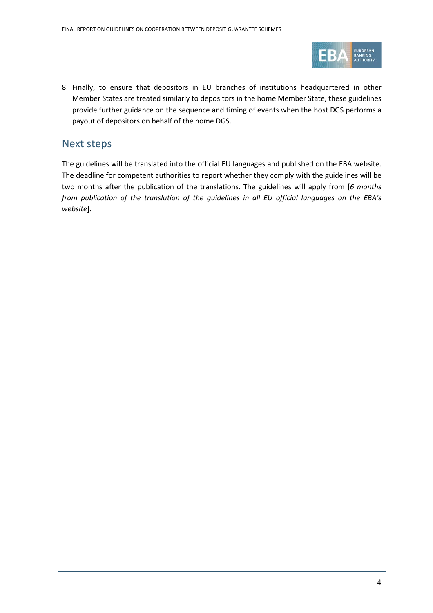

8. Finally, to ensure that depositors in EU branches of institutions headquartered in other Member States are treated similarly to depositors in the home Member State, these guidelines provide further guidance on the sequence and timing of events when the host DGS performs a payout of depositors on behalf of the home DGS.

## Next steps

The guidelines will be translated into the official EU languages and published on the EBA website. The deadline for competent authorities to report whether they comply with the guidelines will be two months after the publication of the translations. The guidelines will apply from [*6 months from publication of the translation of the guidelines in all EU official languages on the EBA's website*].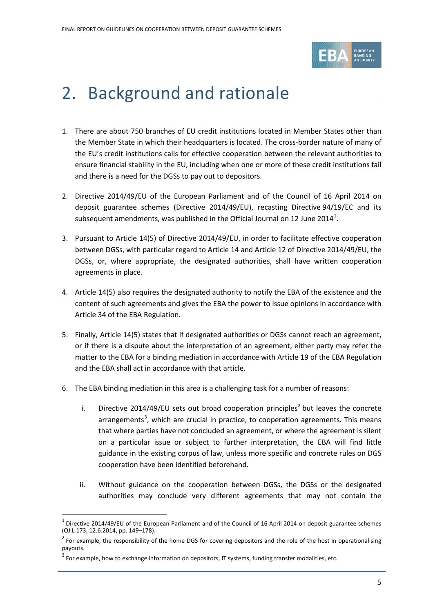

# <span id="page-4-0"></span>2. Background and rationale

- 1. There are about 750 branches of EU credit institutions located in Member States other than the Member State in which their headquarters is located. The cross-border nature of many of the EU's credit institutions calls for effective cooperation between the relevant authorities to ensure financial stability in the EU, including when one or more of these credit institutions fail and there is a need for the DGSs to pay out to depositors.
- 2. Directive 2014/49/EU of the European Parliament and of the Council of 16 April 2014 on deposit guarantee schemes (Directive 2014/49/EU), recasting Directive 94/19/EC and its subsequent amendments, was published in the Official Journal on [1](#page-4-1)2 June 2014<sup>1</sup>.
- 3. Pursuant to Article 14(5) of Directive 2014/49/EU, in order to facilitate effective cooperation between DGSs, with particular regard to Article 14 and Article 12 of Directive 2014/49/EU, the DGSs, or, where appropriate, the designated authorities, shall have written cooperation agreements in place.
- 4. Article 14(5) also requires the designated authority to notify the EBA of the existence and the content of such agreements and gives the EBA the power to issue opinions in accordance with Article 34 of the EBA Regulation.
- 5. Finally, Article 14(5) states that if designated authorities or DGSs cannot reach an agreement, or if there is a dispute about the interpretation of an agreement, either party may refer the matter to the EBA for a binding mediation in accordance with Article 19 of the EBA Regulation and the EBA shall act in accordance with that article.
- 6. The EBA binding mediation in this area is a challenging task for a number of reasons:
	- i. Directive [2](#page-4-2)014/49/EU sets out broad cooperation principles<sup>2</sup> but leaves the concrete arrangements<sup>[3](#page-4-3)</sup>, which are crucial in practice, to cooperation agreements. This means that where parties have not concluded an agreement, or where the agreement is silent on a particular issue or subject to further interpretation, the EBA will find little guidance in the existing corpus of law, unless more specific and concrete rules on DGS cooperation have been identified beforehand.
	- ii. Without guidance on the cooperation between DGSs, the DGSs or the designated authorities may conclude very different agreements that may not contain the

 $\overline{a}$ 

<span id="page-4-1"></span>Directive 2014/49/EU of the European Parliament and of the Council of 16 April 2014 on deposit guarantee schemes (OJ L 173, 12.6.2014, pp. 149–178).

<span id="page-4-2"></span> $2$  For example, the responsibility of the home DGS for covering depositors and the role of the host in operationalising payouts.

<span id="page-4-3"></span> $3$  For example, how to exchange information on depositors, IT systems, funding transfer modalities, etc.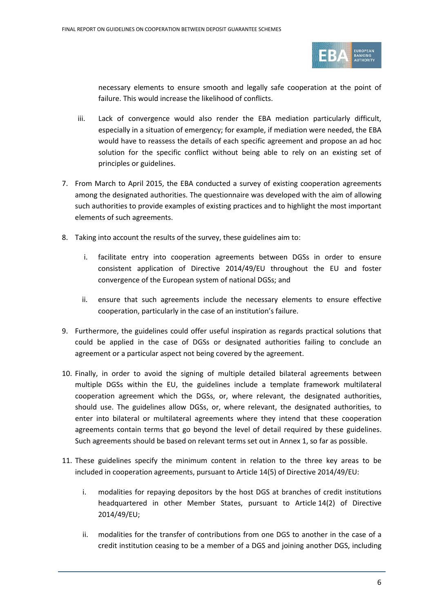

necessary elements to ensure smooth and legally safe cooperation at the point of failure. This would increase the likelihood of conflicts.

- iii. Lack of convergence would also render the EBA mediation particularly difficult, especially in a situation of emergency; for example, if mediation were needed, the EBA would have to reassess the details of each specific agreement and propose an ad hoc solution for the specific conflict without being able to rely on an existing set of principles or guidelines.
- 7. From March to April 2015, the EBA conducted a survey of existing cooperation agreements among the designated authorities. The questionnaire was developed with the aim of allowing such authorities to provide examples of existing practices and to highlight the most important elements of such agreements.
- 8. Taking into account the results of the survey, these guidelines aim to:
	- i. facilitate entry into cooperation agreements between DGSs in order to ensure consistent application of Directive 2014/49/EU throughout the EU and foster convergence of the European system of national DGSs; and
	- ii. ensure that such agreements include the necessary elements to ensure effective cooperation, particularly in the case of an institution's failure.
- 9. Furthermore, the guidelines could offer useful inspiration as regards practical solutions that could be applied in the case of DGSs or designated authorities failing to conclude an agreement or a particular aspect not being covered by the agreement.
- 10. Finally, in order to avoid the signing of multiple detailed bilateral agreements between multiple DGSs within the EU, the guidelines include a template framework multilateral cooperation agreement which the DGSs, or, where relevant, the designated authorities, should use. The guidelines allow DGSs, or, where relevant, the designated authorities, to enter into bilateral or multilateral agreements where they intend that these cooperation agreements contain terms that go beyond the level of detail required by these guidelines. Such agreements should be based on relevant terms set out in Annex 1, so far as possible.
- 11. These guidelines specify the minimum content in relation to the three key areas to be included in cooperation agreements, pursuant to Article 14(5) of Directive 2014/49/EU:
	- i. modalities for repaying depositors by the host DGS at branches of credit institutions headquartered in other Member States, pursuant to Article 14(2) of Directive 2014/49/EU;
	- ii. modalities for the transfer of contributions from one DGS to another in the case of a credit institution ceasing to be a member of a DGS and joining another DGS, including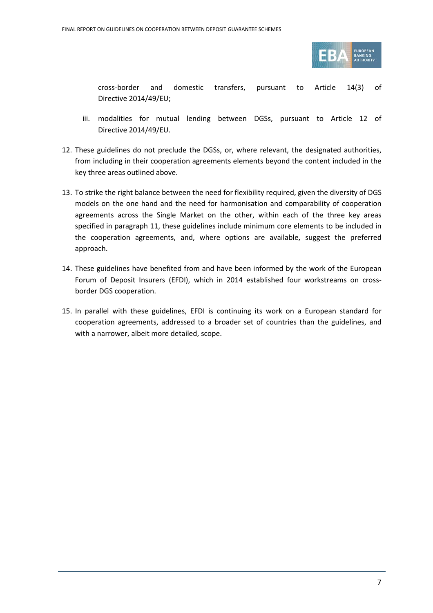

cross-border and domestic transfers, pursuant to Article 14(3) of Directive 2014/49/EU;

- iii. modalities for mutual lending between DGSs, pursuant to Article 12 of Directive 2014/49/EU.
- 12. These guidelines do not preclude the DGSs, or, where relevant, the designated authorities, from including in their cooperation agreements elements beyond the content included in the key three areas outlined above.
- 13. To strike the right balance between the need for flexibility required, given the diversity of DGS models on the one hand and the need for harmonisation and comparability of cooperation agreements across the Single Market on the other, within each of the three key areas specified in paragraph 11, these guidelines include minimum core elements to be included in the cooperation agreements, and, where options are available, suggest the preferred approach.
- 14. These guidelines have benefited from and have been informed by the work of the European Forum of Deposit Insurers (EFDI), which in 2014 established four workstreams on crossborder DGS cooperation.
- 15. In parallel with these guidelines, EFDI is continuing its work on a European standard for cooperation agreements, addressed to a broader set of countries than the guidelines, and with a narrower, albeit more detailed, scope.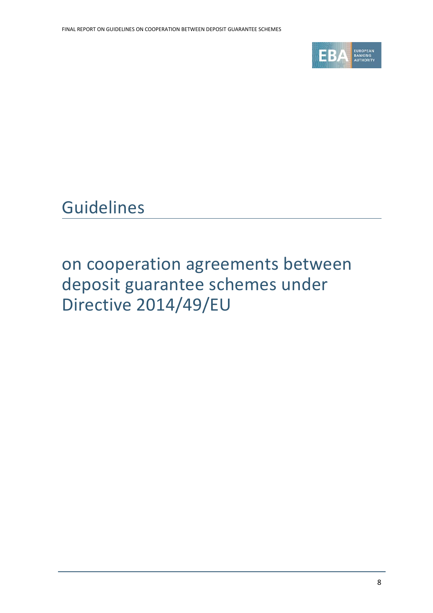

Guidelines

<span id="page-7-0"></span>on cooperation agreements between deposit guarantee schemes under Directive 2014/49/EU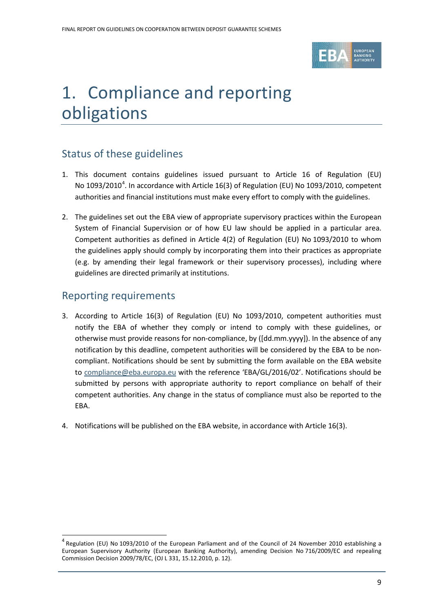

# <span id="page-8-0"></span>1. Compliance and reporting obligations

# Status of these guidelines

- 1. This document contains guidelines issued pursuant to Article 16 of Regulation (EU) No 1093/2010<sup>[4](#page-8-1)</sup>. In accordance with Article 16(3) of Regulation (EU) No 1093/2010, competent authorities and financial institutions must make every effort to comply with the guidelines.
- 2. The guidelines set out the EBA view of appropriate supervisory practices within the European System of Financial Supervision or of how EU law should be applied in a particular area. Competent authorities as defined in Article 4(2) of Regulation (EU) No 1093/2010 to whom the guidelines apply should comply by incorporating them into their practices as appropriate (e.g. by amending their legal framework or their supervisory processes), including where guidelines are directed primarily at institutions.

# Reporting requirements

 $\overline{a}$ 

- 3. According to Article 16(3) of Regulation (EU) No 1093/2010, competent authorities must notify the EBA of whether they comply or intend to comply with these guidelines, or otherwise must provide reasons for non-compliance, by ([dd.mm.yyyy]). In the absence of any notification by this deadline, competent authorities will be considered by the EBA to be noncompliant. Notifications should be sent by submitting the form available on the EBA website to [compliance@eba.europa.eu](mailto:compliance@eba.europa.eu) with the reference 'EBA/GL/2016/02'. Notifications should be submitted by persons with appropriate authority to report compliance on behalf of their competent authorities. Any change in the status of compliance must also be reported to the EBA.
- 4. Notifications will be published on the EBA website, in accordance with Article 16(3).

<span id="page-8-1"></span><sup>4</sup> Regulation (EU) No 1093/2010 of the European Parliament and of the Council of 24 November 2010 establishing a European Supervisory Authority (European Banking Authority), amending Decision No 716/2009/EC and repealing Commission Decision 2009/78/EC, (OJ L 331, 15.12.2010, p. 12).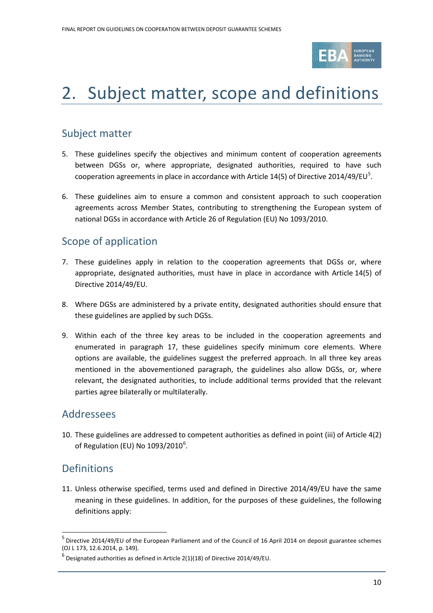

# <span id="page-9-0"></span>2. Subject matter, scope and definitions

# Subject matter

- 5. These guidelines specify the objectives and minimum content of cooperation agreements between DGSs or, where appropriate, designated authorities, required to have such cooperation agreements in place in accordance with Article 14([5](#page-9-1)) of Directive 2014/49/EU<sup>5</sup>.
- 6. These guidelines aim to ensure a common and consistent approach to such cooperation agreements across Member States, contributing to strengthening the European system of national DGSs in accordance with Article 26 of Regulation (EU) No 1093/2010.

# Scope of application

- 7. These guidelines apply in relation to the cooperation agreements that DGSs or, where appropriate, designated authorities, must have in place in accordance with Article 14(5) of Directive 2014/49/EU.
- 8. Where DGSs are administered by a private entity, designated authorities should ensure that these guidelines are applied by such DGSs.
- 9. Within each of the three key areas to be included in the cooperation agreements and enumerated in paragraph 17, these guidelines specify minimum core elements. Where options are available, the guidelines suggest the preferred approach. In all three key areas mentioned in the abovementioned paragraph, the guidelines also allow DGSs, or, where relevant, the designated authorities, to include additional terms provided that the relevant parties agree bilaterally or multilaterally.

## Addressees

10. These guidelines are addressed to competent authorities as defined in point (iii) of Article 4(2) of Regulation (EU) No  $1093/2010^6$  $1093/2010^6$ .

# Definitions

 $\overline{a}$ 

11. Unless otherwise specified, terms used and defined in Directive 2014/49/EU have the same meaning in these guidelines. In addition, for the purposes of these guidelines, the following definitions apply:

<span id="page-9-1"></span><sup>5</sup> Directive 2014/49/EU of the European Parliament and of the Council of 16 April 2014 on deposit guarantee schemes (OJ L 173, 12.6.2014, p. 149).

<span id="page-9-2"></span> $^6$  Designated authorities as defined in Article 2(1)(18) of Directive 2014/49/EU.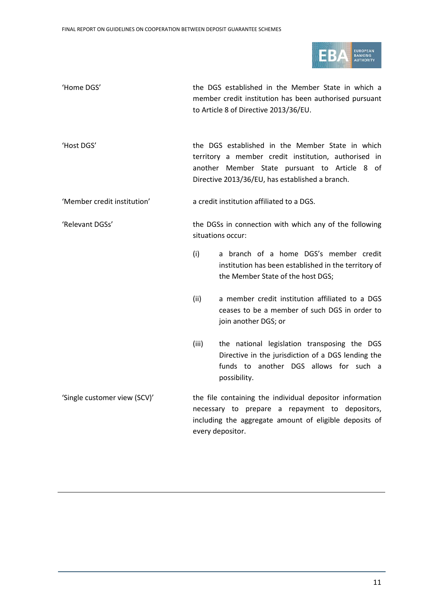

| 'Home DGS'                   | the DGS established in the Member State in which a<br>member credit institution has been authorised pursuant<br>to Article 8 of Directive 2013/36/EU.                                                        |
|------------------------------|--------------------------------------------------------------------------------------------------------------------------------------------------------------------------------------------------------------|
| 'Host DGS'                   | the DGS established in the Member State in which<br>territory a member credit institution, authorised in<br>another Member State pursuant to Article 8 of<br>Directive 2013/36/EU, has established a branch. |
| 'Member credit institution'  | a credit institution affiliated to a DGS.                                                                                                                                                                    |
| 'Relevant DGSs'              | the DGSs in connection with which any of the following<br>situations occur:                                                                                                                                  |
|                              | (i)<br>a branch of a home DGS's member credit<br>institution has been established in the territory of<br>the Member State of the host DGS;                                                                   |
|                              | (ii)<br>a member credit institution affiliated to a DGS<br>ceases to be a member of such DGS in order to<br>join another DGS; or                                                                             |
|                              | (iii)<br>the national legislation transposing the DGS<br>Directive in the jurisdiction of a DGS lending the<br>funds to another DGS allows for such a<br>possibility.                                        |
| 'Single customer view (SCV)' | the file containing the individual depositor information<br>necessary to prepare a repayment to depositors,<br>including the aggregate amount of eligible deposits of<br>every depositor.                    |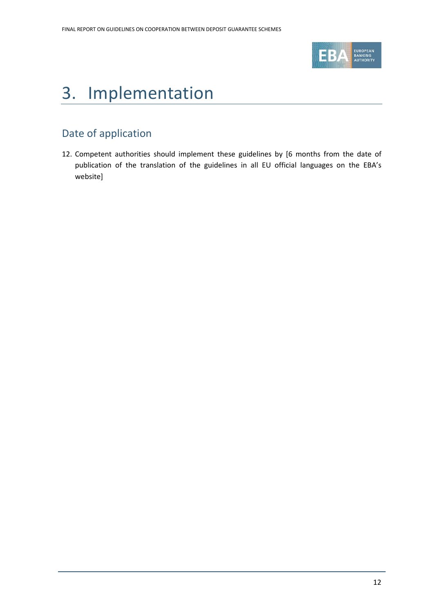

# <span id="page-11-0"></span>3. Implementation

# Date of application

12. Competent authorities should implement these guidelines by [6 months from the date of publication of the translation of the guidelines in all EU official languages on the EBA's website]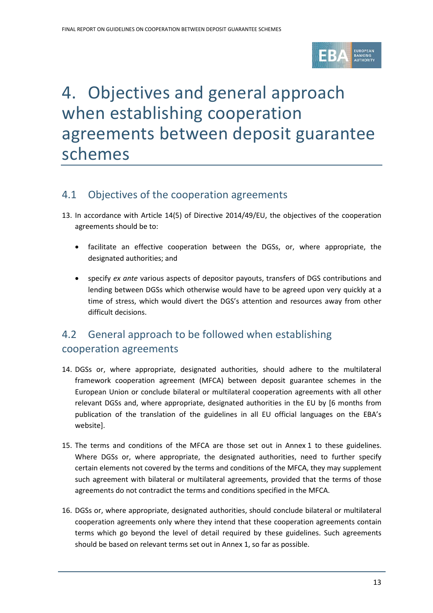

# <span id="page-12-0"></span>4. Objectives and general approach when establishing cooperation agreements between deposit guarantee schemes

## 4.1 Objectives of the cooperation agreements

- 13. In accordance with Article 14(5) of Directive 2014/49/EU, the objectives of the cooperation agreements should be to:
	- facilitate an effective cooperation between the DGSs, or, where appropriate, the designated authorities; and
	- specify *ex ante* various aspects of depositor payouts, transfers of DGS contributions and lending between DGSs which otherwise would have to be agreed upon very quickly at a time of stress, which would divert the DGS's attention and resources away from other difficult decisions.

# 4.2 General approach to be followed when establishing cooperation agreements

- 14. DGSs or, where appropriate, designated authorities, should adhere to the multilateral framework cooperation agreement (MFCA) between deposit guarantee schemes in the European Union or conclude bilateral or multilateral cooperation agreements with all other relevant DGSs and, where appropriate, designated authorities in the EU by [6 months from publication of the translation of the guidelines in all EU official languages on the EBA's website].
- 15. The terms and conditions of the MFCA are those set out in Annex 1 to these guidelines. Where DGSs or, where appropriate, the designated authorities, need to further specify certain elements not covered by the terms and conditions of the MFCA, they may supplement such agreement with bilateral or multilateral agreements, provided that the terms of those agreements do not contradict the terms and conditions specified in the MFCA.
- 16. DGSs or, where appropriate, designated authorities, should conclude bilateral or multilateral cooperation agreements only where they intend that these cooperation agreements contain terms which go beyond the level of detail required by these guidelines. Such agreements should be based on relevant terms set out in Annex 1, so far as possible.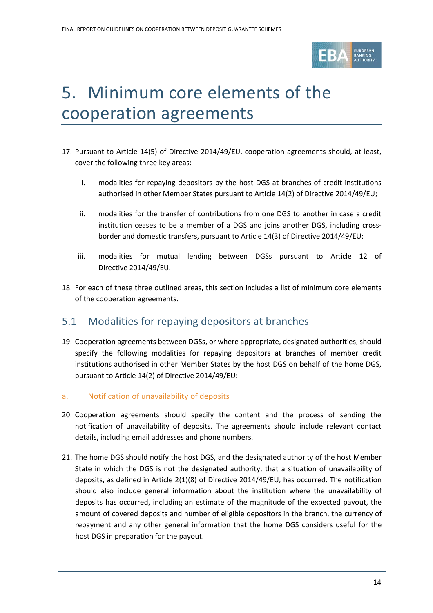

# <span id="page-13-0"></span>5. Minimum core elements of the cooperation agreements

- 17. Pursuant to Article 14(5) of Directive 2014/49/EU, cooperation agreements should, at least, cover the following three key areas:
	- i. modalities for repaying depositors by the host DGS at branches of credit institutions authorised in other Member States pursuant to Article 14(2) of Directive 2014/49/EU;
	- ii. modalities for the transfer of contributions from one DGS to another in case a credit institution ceases to be a member of a DGS and joins another DGS, including crossborder and domestic transfers, pursuant to Article 14(3) of Directive 2014/49/EU;
	- iii. modalities for mutual lending between DGSs pursuant to Article 12 of Directive 2014/49/EU.
- 18. For each of these three outlined areas, this section includes a list of minimum core elements of the cooperation agreements.

## 5.1 Modalities for repaying depositors at branches

19. Cooperation agreements between DGSs, or where appropriate, designated authorities, should specify the following modalities for repaying depositors at branches of member credit institutions authorised in other Member States by the host DGS on behalf of the home DGS, pursuant to Article 14(2) of Directive 2014/49/EU:

## a. Notification of unavailability of deposits

- 20. Cooperation agreements should specify the content and the process of sending the notification of unavailability of deposits. The agreements should include relevant contact details, including email addresses and phone numbers.
- 21. The home DGS should notify the host DGS, and the designated authority of the host Member State in which the DGS is not the designated authority, that a situation of unavailability of deposits, as defined in Article 2(1)(8) of Directive 2014/49/EU, has occurred. The notification should also include general information about the institution where the unavailability of deposits has occurred, including an estimate of the magnitude of the expected payout, the amount of covered deposits and number of eligible depositors in the branch, the currency of repayment and any other general information that the home DGS considers useful for the host DGS in preparation for the payout.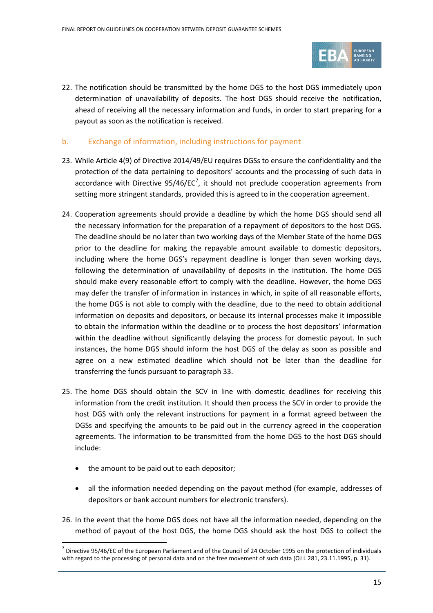

22. The notification should be transmitted by the home DGS to the host DGS immediately upon determination of unavailability of deposits. The host DGS should receive the notification, ahead of receiving all the necessary information and funds, in order to start preparing for a payout as soon as the notification is received.

#### b. Exchange of information, including instructions for payment

- 23. While Article 4(9) of Directive 2014/49/EU requires DGSs to ensure the confidentiality and the protection of the data pertaining to depositors' accounts and the processing of such data in accordance with Directive  $95/46/EC^7$  $95/46/EC^7$ , it should not preclude cooperation agreements from setting more stringent standards, provided this is agreed to in the cooperation agreement.
- 24. Cooperation agreements should provide a deadline by which the home DGS should send all the necessary information for the preparation of a repayment of depositors to the host DGS. The deadline should be no later than two working days of the Member State of the home DGS prior to the deadline for making the repayable amount available to domestic depositors, including where the home DGS's repayment deadline is longer than seven working days, following the determination of unavailability of deposits in the institution. The home DGS should make every reasonable effort to comply with the deadline. However, the home DGS may defer the transfer of information in instances in which, in spite of all reasonable efforts, the home DGS is not able to comply with the deadline, due to the need to obtain additional information on deposits and depositors, or because its internal processes make it impossible to obtain the information within the deadline or to process the host depositors' information within the deadline without significantly delaying the process for domestic payout. In such instances, the home DGS should inform the host DGS of the delay as soon as possible and agree on a new estimated deadline which should not be later than the deadline for transferring the funds pursuant to paragraph 33.
- 25. The home DGS should obtain the SCV in line with domestic deadlines for receiving this information from the credit institution. It should then process the SCV in order to provide the host DGS with only the relevant instructions for payment in a format agreed between the DGSs and specifying the amounts to be paid out in the currency agreed in the cooperation agreements. The information to be transmitted from the home DGS to the host DGS should include:
	- the amount to be paid out to each depositor;

 $\overline{a}$ 

- all the information needed depending on the payout method (for example, addresses of depositors or bank account numbers for electronic transfers).
- 26. In the event that the home DGS does not have all the information needed, depending on the method of payout of the host DGS, the home DGS should ask the host DGS to collect the

<span id="page-14-0"></span> $<sup>7</sup>$  Directive 95/46/EC of the European Parliament and of the Council of 24 October 1995 on the protection of individuals</sup> with regard to the processing of personal data and on the free movement of such data (OJ L 281, 23.11.1995, p. 31).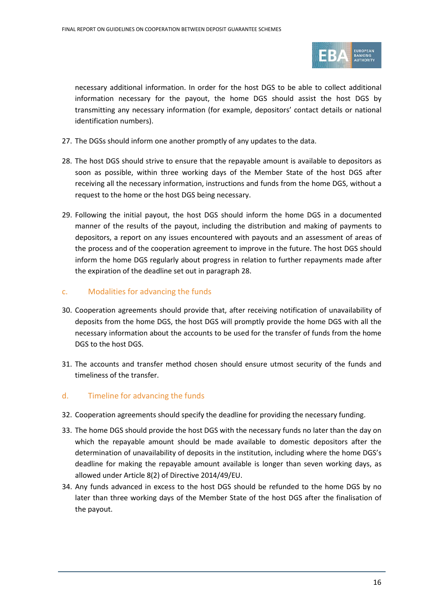

necessary additional information. In order for the host DGS to be able to collect additional information necessary for the payout, the home DGS should assist the host DGS by transmitting any necessary information (for example, depositors' contact details or national identification numbers).

- 27. The DGSs should inform one another promptly of any updates to the data.
- 28. The host DGS should strive to ensure that the repayable amount is available to depositors as soon as possible, within three working days of the Member State of the host DGS after receiving all the necessary information, instructions and funds from the home DGS, without a request to the home or the host DGS being necessary.
- 29. Following the initial payout, the host DGS should inform the home DGS in a documented manner of the results of the payout, including the distribution and making of payments to depositors, a report on any issues encountered with payouts and an assessment of areas of the process and of the cooperation agreement to improve in the future. The host DGS should inform the home DGS regularly about progress in relation to further repayments made after the expiration of the deadline set out in paragraph 28.

#### c. Modalities for advancing the funds

- 30. Cooperation agreements should provide that, after receiving notification of unavailability of deposits from the home DGS, the host DGS will promptly provide the home DGS with all the necessary information about the accounts to be used for the transfer of funds from the home DGS to the host DGS.
- 31. The accounts and transfer method chosen should ensure utmost security of the funds and timeliness of the transfer.

#### d. Timeline for advancing the funds

- 32. Cooperation agreements should specify the deadline for providing the necessary funding.
- 33. The home DGS should provide the host DGS with the necessary funds no later than the day on which the repayable amount should be made available to domestic depositors after the determination of unavailability of deposits in the institution, including where the home DGS's deadline for making the repayable amount available is longer than seven working days, as allowed under Article 8(2) of Directive 2014/49/EU.
- 34. Any funds advanced in excess to the host DGS should be refunded to the home DGS by no later than three working days of the Member State of the host DGS after the finalisation of the payout.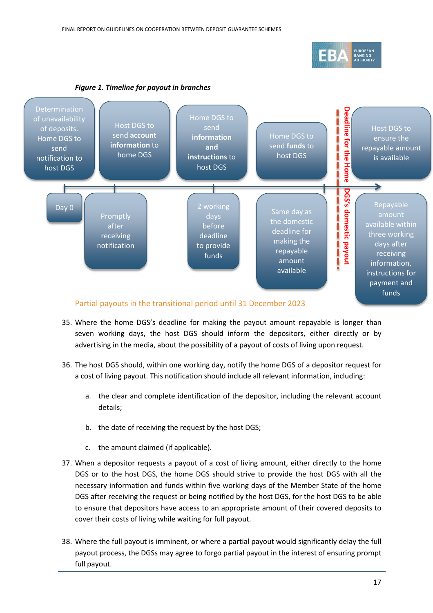



#### *Figure 1. Timeline for payout in branches*

Partial payouts in the transitional period until 31 December 2023

- 35. Where the home DGS's deadline for making the payout amount repayable is longer than seven working days, the host DGS should inform the depositors, either directly or by advertising in the media, about the possibility of a payout of costs of living upon request.
- 36. The host DGS should, within one working day, notify the home DGS of a depositor request for a cost of living payout. This notification should include all relevant information, including:
	- a. the clear and complete identification of the depositor, including the relevant account details;
	- b. the date of receiving the request by the host DGS;
	- c. the amount claimed (if applicable).
- 37. When a depositor requests a payout of a cost of living amount, either directly to the home DGS or to the host DGS, the home DGS should strive to provide the host DGS with all the necessary information and funds within five working days of the Member State of the home DGS after receiving the request or being notified by the host DGS, for the host DGS to be able to ensure that depositors have access to an appropriate amount of their covered deposits to cover their costs of living while waiting for full payout.
- 38. Where the full payout is imminent, or where a partial payout would significantly delay the full payout process, the DGSs may agree to forgo partial payout in the interest of ensuring prompt full payout.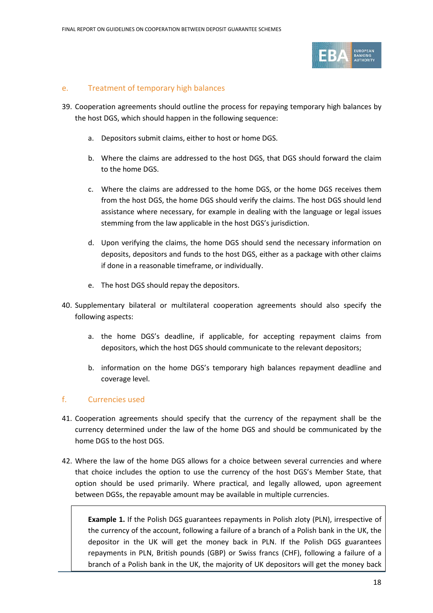

#### e. Treatment of temporary high balances

- 39. Cooperation agreements should outline the process for repaying temporary high balances by the host DGS, which should happen in the following sequence:
	- a. Depositors submit claims, either to host or home DGS.
	- b. Where the claims are addressed to the host DGS, that DGS should forward the claim to the home DGS.
	- c. Where the claims are addressed to the home DGS, or the home DGS receives them from the host DGS, the home DGS should verify the claims. The host DGS should lend assistance where necessary, for example in dealing with the language or legal issues stemming from the law applicable in the host DGS's jurisdiction.
	- d. Upon verifying the claims, the home DGS should send the necessary information on deposits, depositors and funds to the host DGS, either as a package with other claims if done in a reasonable timeframe, or individually.
	- e. The host DGS should repay the depositors.
- 40. Supplementary bilateral or multilateral cooperation agreements should also specify the following aspects:
	- a. the home DGS's deadline, if applicable, for accepting repayment claims from depositors, which the host DGS should communicate to the relevant depositors;
	- b. information on the home DGS's temporary high balances repayment deadline and coverage level.

#### f. Currencies used

- 41. Cooperation agreements should specify that the currency of the repayment shall be the currency determined under the law of the home DGS and should be communicated by the home DGS to the host DGS.
- 42. Where the law of the home DGS allows for a choice between several currencies and where that choice includes the option to use the currency of the host DGS's Member State, that option should be used primarily. Where practical, and legally allowed, upon agreement between DGSs, the repayable amount may be available in multiple currencies.

**Example 1.** If the Polish DGS guarantees repayments in Polish zloty (PLN), irrespective of the currency of the account, following a failure of a branch of a Polish bank in the UK, the depositor in the UK will get the money back in PLN. If the Polish DGS guarantees repayments in PLN, British pounds (GBP) or Swiss francs (CHF), following a failure of a branch of a Polish bank in the UK, the majority of UK depositors will get the money back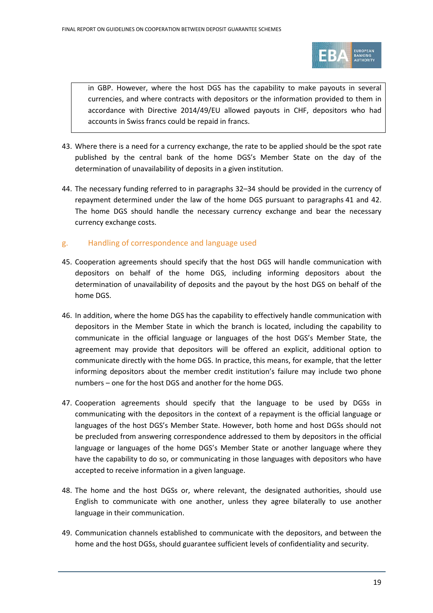

in GBP. However, where the host DGS has the capability to make payouts in several currencies, and where contracts with depositors or the information provided to them in accordance with Directive 2014/49/EU allowed payouts in CHF, depositors who had accounts in Swiss francs could be repaid in francs.

- 43. Where there is a need for a currency exchange, the rate to be applied should be the spot rate published by the central bank of the home DGS's Member State on the day of the determination of unavailability of deposits in a given institution.
- 44. The necessary funding referred to in paragraphs 32–34 should be provided in the currency of repayment determined under the law of the home DGS pursuant to paragraphs 41 and 42. The home DGS should handle the necessary currency exchange and bear the necessary currency exchange costs.

## g. Handling of correspondence and language used

- 45. Cooperation agreements should specify that the host DGS will handle communication with depositors on behalf of the home DGS, including informing depositors about the determination of unavailability of deposits and the payout by the host DGS on behalf of the home DGS.
- 46. In addition, where the home DGS has the capability to effectively handle communication with depositors in the Member State in which the branch is located, including the capability to communicate in the official language or languages of the host DGS's Member State, the agreement may provide that depositors will be offered an explicit, additional option to communicate directly with the home DGS. In practice, this means, for example, that the letter informing depositors about the member credit institution's failure may include two phone numbers – one for the host DGS and another for the home DGS.
- 47. Cooperation agreements should specify that the language to be used by DGSs in communicating with the depositors in the context of a repayment is the official language or languages of the host DGS's Member State. However, both home and host DGSs should not be precluded from answering correspondence addressed to them by depositors in the official language or languages of the home DGS's Member State or another language where they have the capability to do so, or communicating in those languages with depositors who have accepted to receive information in a given language.
- 48. The home and the host DGSs or, where relevant, the designated authorities, should use English to communicate with one another, unless they agree bilaterally to use another language in their communication.
- 49. Communication channels established to communicate with the depositors, and between the home and the host DGSs, should guarantee sufficient levels of confidentiality and security.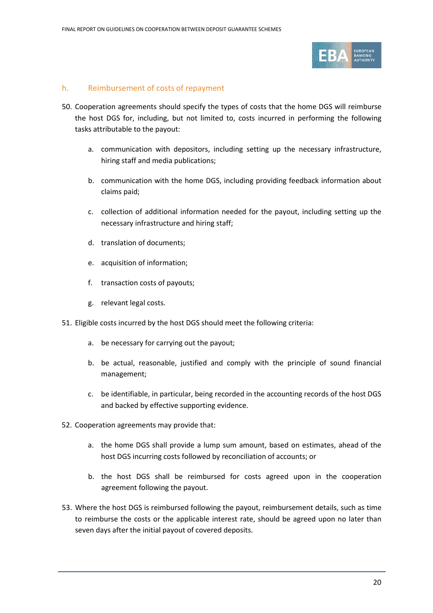

#### h. Reimbursement of costs of repayment

- 50. Cooperation agreements should specify the types of costs that the home DGS will reimburse the host DGS for, including, but not limited to, costs incurred in performing the following tasks attributable to the payout:
	- a. communication with depositors, including setting up the necessary infrastructure, hiring staff and media publications;
	- b. communication with the home DGS, including providing feedback information about claims paid;
	- c. collection of additional information needed for the payout, including setting up the necessary infrastructure and hiring staff;
	- d. translation of documents;
	- e. acquisition of information;
	- f. transaction costs of payouts;
	- g. relevant legal costs.
- 51. Eligible costs incurred by the host DGS should meet the following criteria:
	- a. be necessary for carrying out the payout;
	- b. be actual, reasonable, justified and comply with the principle of sound financial management;
	- c. be identifiable, in particular, being recorded in the accounting records of the host DGS and backed by effective supporting evidence.
- 52. Cooperation agreements may provide that:
	- a. the home DGS shall provide a lump sum amount, based on estimates, ahead of the host DGS incurring costs followed by reconciliation of accounts; or
	- b. the host DGS shall be reimbursed for costs agreed upon in the cooperation agreement following the payout.
- 53. Where the host DGS is reimbursed following the payout, reimbursement details, such as time to reimburse the costs or the applicable interest rate, should be agreed upon no later than seven days after the initial payout of covered deposits.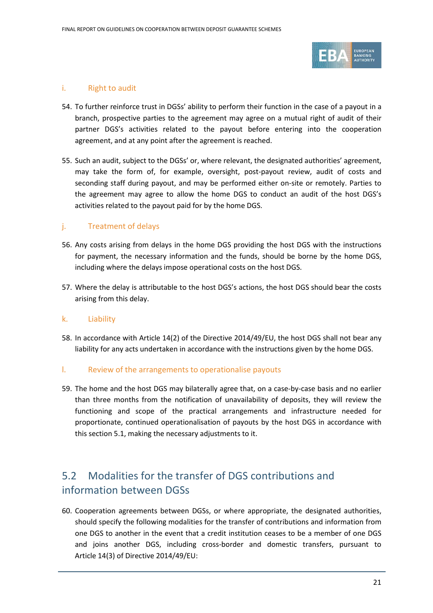

#### i. Right to audit

- 54. To further reinforce trust in DGSs' ability to perform their function in the case of a payout in a branch, prospective parties to the agreement may agree on a mutual right of audit of their partner DGS's activities related to the payout before entering into the cooperation agreement, and at any point after the agreement is reached.
- 55. Such an audit, subject to the DGSs' or, where relevant, the designated authorities' agreement, may take the form of, for example, oversight, post-payout review, audit of costs and seconding staff during payout, and may be performed either on-site or remotely. Parties to the agreement may agree to allow the home DGS to conduct an audit of the host DGS's activities related to the payout paid for by the home DGS.

#### j. Treatment of delays

- 56. Any costs arising from delays in the home DGS providing the host DGS with the instructions for payment, the necessary information and the funds, should be borne by the home DGS, including where the delays impose operational costs on the host DGS.
- 57. Where the delay is attributable to the host DGS's actions, the host DGS should bear the costs arising from this delay.

#### k. Liability

58. In accordance with Article 14(2) of the Directive 2014/49/EU, the host DGS shall not bear any liability for any acts undertaken in accordance with the instructions given by the home DGS.

#### l. Review of the arrangements to operationalise payouts

59. The home and the host DGS may bilaterally agree that, on a case-by-case basis and no earlier than three months from the notification of unavailability of deposits, they will review the functioning and scope of the practical arrangements and infrastructure needed for proportionate, continued operationalisation of payouts by the host DGS in accordance with this section 5.1, making the necessary adjustments to it.

# 5.2 Modalities for the transfer of DGS contributions and information between DGSs

60. Cooperation agreements between DGSs, or where appropriate, the designated authorities, should specify the following modalities for the transfer of contributions and information from one DGS to another in the event that a credit institution ceases to be a member of one DGS and joins another DGS, including cross-border and domestic transfers, pursuant to Article 14(3) of Directive 2014/49/EU: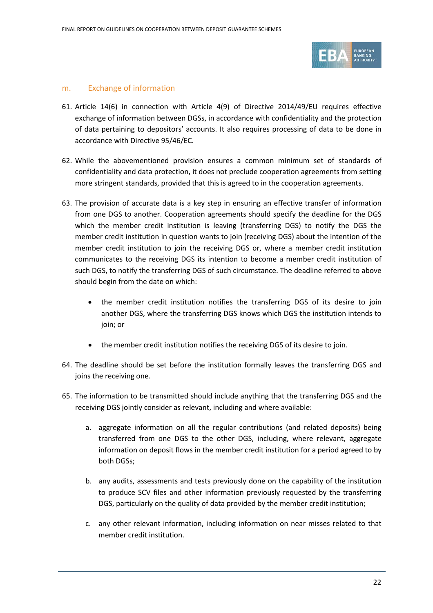

#### m. Exchange of information

- 61. Article 14(6) in connection with Article 4(9) of Directive 2014/49/EU requires effective exchange of information between DGSs, in accordance with confidentiality and the protection of data pertaining to depositors' accounts. It also requires processing of data to be done in accordance with Directive 95/46/EC.
- 62. While the abovementioned provision ensures a common minimum set of standards of confidentiality and data protection, it does not preclude cooperation agreements from setting more stringent standards, provided that this is agreed to in the cooperation agreements.
- 63. The provision of accurate data is a key step in ensuring an effective transfer of information from one DGS to another. Cooperation agreements should specify the deadline for the DGS which the member credit institution is leaving (transferring DGS) to notify the DGS the member credit institution in question wants to join (receiving DGS) about the intention of the member credit institution to join the receiving DGS or, where a member credit institution communicates to the receiving DGS its intention to become a member credit institution of such DGS, to notify the transferring DGS of such circumstance. The deadline referred to above should begin from the date on which:
	- the member credit institution notifies the transferring DGS of its desire to join another DGS, where the transferring DGS knows which DGS the institution intends to join; or
	- the member credit institution notifies the receiving DGS of its desire to join.
- 64. The deadline should be set before the institution formally leaves the transferring DGS and joins the receiving one.
- 65. The information to be transmitted should include anything that the transferring DGS and the receiving DGS jointly consider as relevant, including and where available:
	- a. aggregate information on all the regular contributions (and related deposits) being transferred from one DGS to the other DGS, including, where relevant, aggregate information on deposit flows in the member credit institution for a period agreed to by both DGSs;
	- b. any audits, assessments and tests previously done on the capability of the institution to produce SCV files and other information previously requested by the transferring DGS, particularly on the quality of data provided by the member credit institution;
	- c. any other relevant information, including information on near misses related to that member credit institution.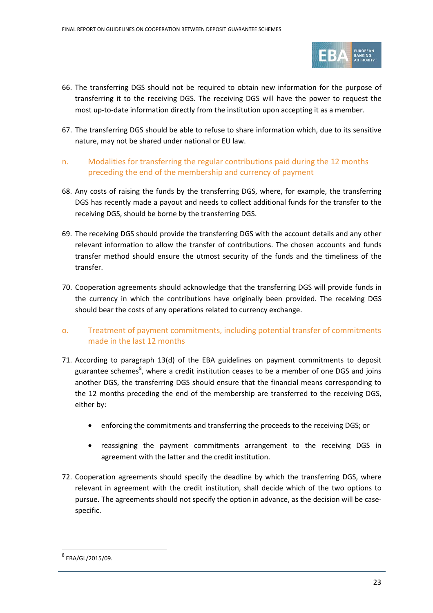

- 66. The transferring DGS should not be required to obtain new information for the purpose of transferring it to the receiving DGS. The receiving DGS will have the power to request the most up-to-date information directly from the institution upon accepting it as a member.
- 67. The transferring DGS should be able to refuse to share information which, due to its sensitive nature, may not be shared under national or EU law.
- n. Modalities for transferring the regular contributions paid during the 12 months preceding the end of the membership and currency of payment
- 68. Any costs of raising the funds by the transferring DGS, where, for example, the transferring DGS has recently made a payout and needs to collect additional funds for the transfer to the receiving DGS, should be borne by the transferring DGS.
- 69. The receiving DGS should provide the transferring DGS with the account details and any other relevant information to allow the transfer of contributions. The chosen accounts and funds transfer method should ensure the utmost security of the funds and the timeliness of the transfer.
- 70. Cooperation agreements should acknowledge that the transferring DGS will provide funds in the currency in which the contributions have originally been provided. The receiving DGS should bear the costs of any operations related to currency exchange.

## o. Treatment of payment commitments, including potential transfer of commitments made in the last 12 months

- 71. According to paragraph 13(d) of the EBA guidelines on payment commitments to deposit guarantee schemes<sup>[8](#page-22-0)</sup>, where a credit institution ceases to be a member of one DGS and joins another DGS, the transferring DGS should ensure that the financial means corresponding to the 12 months preceding the end of the membership are transferred to the receiving DGS, either by:
	- enforcing the commitments and transferring the proceeds to the receiving DGS; or
	- reassigning the payment commitments arrangement to the receiving DGS in agreement with the latter and the credit institution.
- 72. Cooperation agreements should specify the deadline by which the transferring DGS, where relevant in agreement with the credit institution, shall decide which of the two options to pursue. The agreements should not specify the option in advance, as the decision will be casespecific.

 $\overline{a}$ 

<span id="page-22-0"></span><sup>8</sup> EBA/GL/2015/09.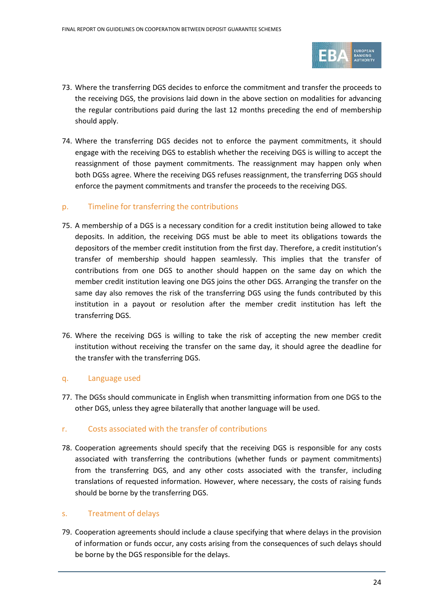

- 73. Where the transferring DGS decides to enforce the commitment and transfer the proceeds to the receiving DGS, the provisions laid down in the above section on modalities for advancing the regular contributions paid during the last 12 months preceding the end of membership should apply.
- 74. Where the transferring DGS decides not to enforce the payment commitments, it should engage with the receiving DGS to establish whether the receiving DGS is willing to accept the reassignment of those payment commitments. The reassignment may happen only when both DGSs agree. Where the receiving DGS refuses reassignment, the transferring DGS should enforce the payment commitments and transfer the proceeds to the receiving DGS.

## p. Timeline for transferring the contributions

- 75. A membership of a DGS is a necessary condition for a credit institution being allowed to take deposits. In addition, the receiving DGS must be able to meet its obligations towards the depositors of the member credit institution from the first day. Therefore, a credit institution's transfer of membership should happen seamlessly. This implies that the transfer of contributions from one DGS to another should happen on the same day on which the member credit institution leaving one DGS joins the other DGS. Arranging the transfer on the same day also removes the risk of the transferring DGS using the funds contributed by this institution in a payout or resolution after the member credit institution has left the transferring DGS.
- 76. Where the receiving DGS is willing to take the risk of accepting the new member credit institution without receiving the transfer on the same day, it should agree the deadline for the transfer with the transferring DGS.

#### q. Language used

77. The DGSs should communicate in English when transmitting information from one DGS to the other DGS, unless they agree bilaterally that another language will be used.

#### r. Costs associated with the transfer of contributions

78. Cooperation agreements should specify that the receiving DGS is responsible for any costs associated with transferring the contributions (whether funds or payment commitments) from the transferring DGS, and any other costs associated with the transfer, including translations of requested information. However, where necessary, the costs of raising funds should be borne by the transferring DGS.

## s. Treatment of delays

79. Cooperation agreements should include a clause specifying that where delays in the provision of information or funds occur, any costs arising from the consequences of such delays should be borne by the DGS responsible for the delays.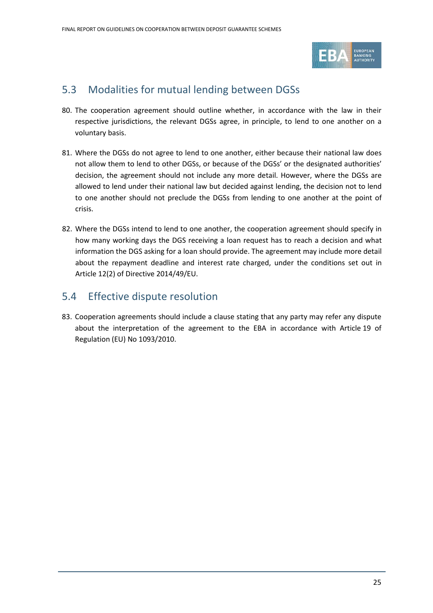

# 5.3 Modalities for mutual lending between DGSs

- 80. The cooperation agreement should outline whether, in accordance with the law in their respective jurisdictions, the relevant DGSs agree, in principle, to lend to one another on a voluntary basis.
- 81. Where the DGSs do not agree to lend to one another, either because their national law does not allow them to lend to other DGSs, or because of the DGSs' or the designated authorities' decision, the agreement should not include any more detail. However, where the DGSs are allowed to lend under their national law but decided against lending, the decision not to lend to one another should not preclude the DGSs from lending to one another at the point of crisis.
- 82. Where the DGSs intend to lend to one another, the cooperation agreement should specify in how many working days the DGS receiving a loan request has to reach a decision and what information the DGS asking for a loan should provide. The agreement may include more detail about the repayment deadline and interest rate charged, under the conditions set out in Article 12(2) of Directive 2014/49/EU.

# 5.4 Effective dispute resolution

83. Cooperation agreements should include a clause stating that any party may refer any dispute about the interpretation of the agreement to the EBA in accordance with Article 19 of Regulation (EU) No 1093/2010.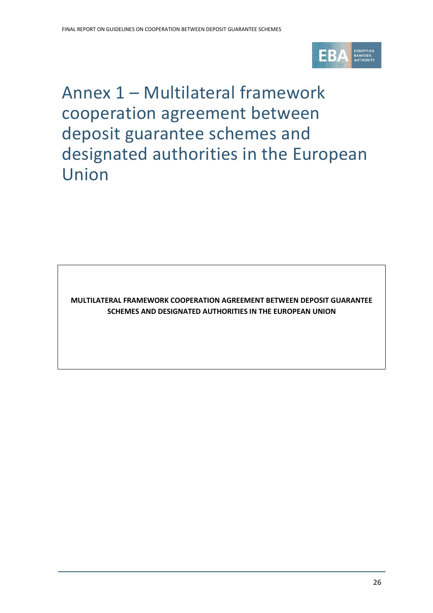

# <span id="page-25-0"></span>Annex 1 – Multilateral framework cooperation agreement between deposit guarantee schemes and designated authorities in the European Union

**MULTILATERAL FRAMEWORK COOPERATION AGREEMENT BETWEEN DEPOSIT GUARANTEE SCHEMES AND DESIGNATED AUTHORITIES IN THE EUROPEAN UNION**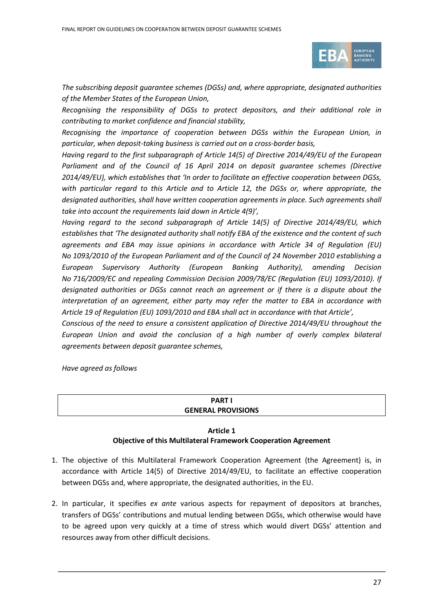

*The subscribing deposit guarantee schemes (DGSs) and, where appropriate, designated authorities of the Member States of the European Union,* 

*Recognising the responsibility of DGSs to protect depositors, and their additional role in contributing to market confidence and financial stability,*

*Recognising the importance of cooperation between DGSs within the European Union, in particular, when deposit-taking business is carried out on a cross-border basis,*

*Having regard to the first subparagraph of Article 14(5) of Directive 2014/49/EU of the European Parliament and of the Council of 16 April 2014 on deposit guarantee schemes (Directive 2014/49/EU), which establishes that 'In order to facilitate an effective cooperation between DGSs, with particular regard to this Article and to Article 12, the DGSs or, where appropriate, the designated authorities, shall have written cooperation agreements in place. Such agreements shall take into account the requirements laid down in Article 4(9)',*

*Having regard to the second subparagraph of Article 14(5) of Directive 2014/49/EU, which establishes that 'The designated authority shall notify EBA of the existence and the content of such agreements and EBA may issue opinions in accordance with Article 34 of Regulation (EU) No 1093/2010 of the European Parliament and of the Council of 24 November 2010 establishing a European Supervisory Authority (European Banking Authority), amending Decision No 716/2009/EC and repealing Commission Decision 2009/78/EC (Regulation (EU) 1093/2010). If designated authorities or DGSs cannot reach an agreement or if there is a dispute about the interpretation of an agreement, either party may refer the matter to EBA in accordance with Article 19 of Regulation (EU) 1093/2010 and EBA shall act in accordance with that Article',*

*Conscious of the need to ensure a consistent application of Directive 2014/49/EU throughout the European Union and avoid the conclusion of a high number of overly complex bilateral agreements between deposit guarantee schemes,*

*Have agreed as follows*

#### **PART I GENERAL PROVISIONS**

## **Article 1**

## **Objective of this Multilateral Framework Cooperation Agreement**

- 1. The objective of this Multilateral Framework Cooperation Agreement (the Agreement) is, in accordance with Article 14(5) of Directive 2014/49/EU, to facilitate an effective cooperation between DGSs and, where appropriate, the designated authorities, in the EU.
- 2. In particular, it specifies *ex ante* various aspects for repayment of depositors at branches, transfers of DGSs' contributions and mutual lending between DGSs, which otherwise would have to be agreed upon very quickly at a time of stress which would divert DGSs' attention and resources away from other difficult decisions.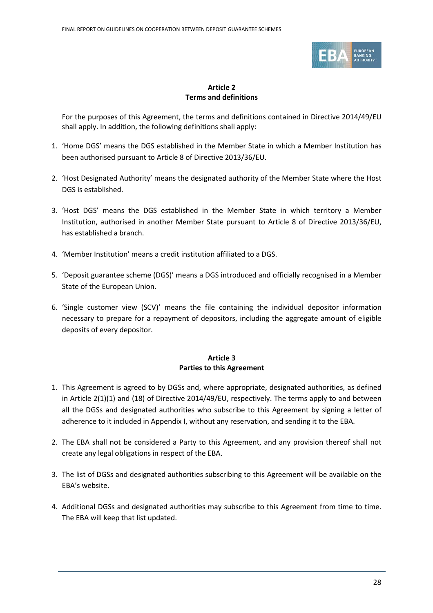

## **Article 2 Terms and definitions**

For the purposes of this Agreement, the terms and definitions contained in Directive 2014/49/EU shall apply. In addition, the following definitions shall apply:

- 1. 'Home DGS' means the DGS established in the Member State in which a Member Institution has been authorised pursuant to Article 8 of Directive 2013/36/EU.
- 2. 'Host Designated Authority' means the designated authority of the Member State where the Host DGS is established.
- 3. 'Host DGS' means the DGS established in the Member State in which territory a Member Institution, authorised in another Member State pursuant to Article 8 of Directive 2013/36/EU, has established a branch.
- 4. 'Member Institution' means a credit institution affiliated to a DGS.
- 5. 'Deposit guarantee scheme (DGS)' means a DGS introduced and officially recognised in a Member State of the European Union.
- 6. 'Single customer view (SCV)' means the file containing the individual depositor information necessary to prepare for a repayment of depositors, including the aggregate amount of eligible deposits of every depositor.

## **Article 3 Parties to this Agreement**

- 1. This Agreement is agreed to by DGSs and, where appropriate, designated authorities, as defined in Article 2(1)(1) and (18) of Directive 2014/49/EU, respectively. The terms apply to and between all the DGSs and designated authorities who subscribe to this Agreement by signing a letter of adherence to it included in Appendix I, without any reservation, and sending it to the EBA.
- 2. The EBA shall not be considered a Party to this Agreement, and any provision thereof shall not create any legal obligations in respect of the EBA.
- 3. The list of DGSs and designated authorities subscribing to this Agreement will be available on the EBA's website.
- 4. Additional DGSs and designated authorities may subscribe to this Agreement from time to time. The EBA will keep that list updated.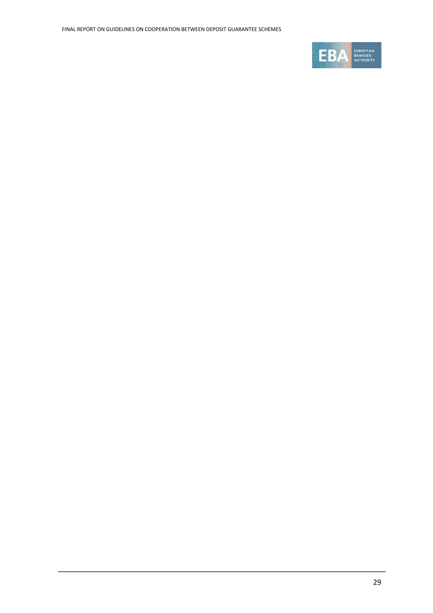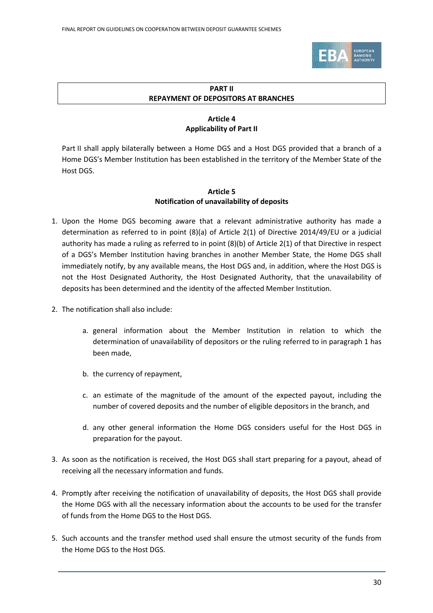

#### **PART II REPAYMENT OF DEPOSITORS AT BRANCHES**

## **Article 4 Applicability of Part II**

Part II shall apply bilaterally between a Home DGS and a Host DGS provided that a branch of a Home DGS's Member Institution has been established in the territory of the Member State of the Host DGS.

## **Article 5 Notification of unavailability of deposits**

- 1. Upon the Home DGS becoming aware that a relevant administrative authority has made a determination as referred to in point (8)(a) of Article 2(1) of Directive 2014/49/EU or a judicial authority has made a ruling as referred to in point (8)(b) of Article 2(1) of that Directive in respect of a DGS's Member Institution having branches in another Member State, the Home DGS shall immediately notify, by any available means, the Host DGS and, in addition, where the Host DGS is not the Host Designated Authority, the Host Designated Authority, that the unavailability of deposits has been determined and the identity of the affected Member Institution.
- 2. The notification shall also include:
	- a. general information about the Member Institution in relation to which the determination of unavailability of depositors or the ruling referred to in paragraph 1 has been made,
	- b. the currency of repayment,
	- c. an estimate of the magnitude of the amount of the expected payout, including the number of covered deposits and the number of eligible depositors in the branch, and
	- d. any other general information the Home DGS considers useful for the Host DGS in preparation for the payout.
- 3. As soon as the notification is received, the Host DGS shall start preparing for a payout, ahead of receiving all the necessary information and funds.
- 4. Promptly after receiving the notification of unavailability of deposits, the Host DGS shall provide the Home DGS with all the necessary information about the accounts to be used for the transfer of funds from the Home DGS to the Host DGS.
- 5. Such accounts and the transfer method used shall ensure the utmost security of the funds from the Home DGS to the Host DGS.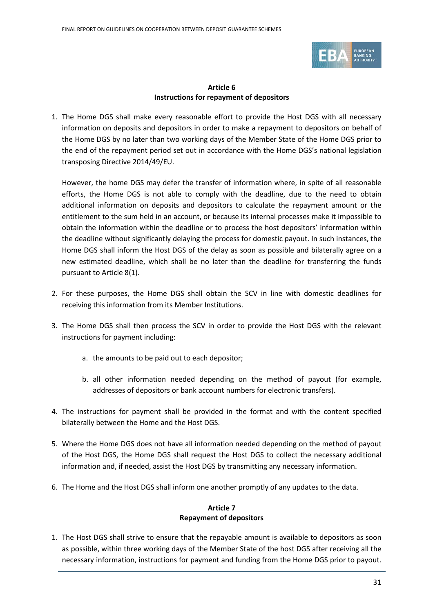

## **Article 6 Instructions for repayment of depositors**

1. The Home DGS shall make every reasonable effort to provide the Host DGS with all necessary information on deposits and depositors in order to make a repayment to depositors on behalf of the Home DGS by no later than two working days of the Member State of the Home DGS prior to the end of the repayment period set out in accordance with the Home DGS's national legislation transposing Directive 2014/49/EU.

However, the home DGS may defer the transfer of information where, in spite of all reasonable efforts, the Home DGS is not able to comply with the deadline, due to the need to obtain additional information on deposits and depositors to calculate the repayment amount or the entitlement to the sum held in an account, or because its internal processes make it impossible to obtain the information within the deadline or to process the host depositors' information within the deadline without significantly delaying the process for domestic payout. In such instances, the Home DGS shall inform the Host DGS of the delay as soon as possible and bilaterally agree on a new estimated deadline, which shall be no later than the deadline for transferring the funds pursuant to Article 8(1).

- 2. For these purposes, the Home DGS shall obtain the SCV in line with domestic deadlines for receiving this information from its Member Institutions.
- 3. The Home DGS shall then process the SCV in order to provide the Host DGS with the relevant instructions for payment including:
	- a. the amounts to be paid out to each depositor;
	- b. all other information needed depending on the method of payout (for example, addresses of depositors or bank account numbers for electronic transfers).
- 4. The instructions for payment shall be provided in the format and with the content specified bilaterally between the Home and the Host DGS.
- 5. Where the Home DGS does not have all information needed depending on the method of payout of the Host DGS, the Home DGS shall request the Host DGS to collect the necessary additional information and, if needed, assist the Host DGS by transmitting any necessary information.
- 6. The Home and the Host DGS shall inform one another promptly of any updates to the data.

### **Article 7 Repayment of depositors**

1. The Host DGS shall strive to ensure that the repayable amount is available to depositors as soon as possible, within three working days of the Member State of the host DGS after receiving all the necessary information, instructions for payment and funding from the Home DGS prior to payout.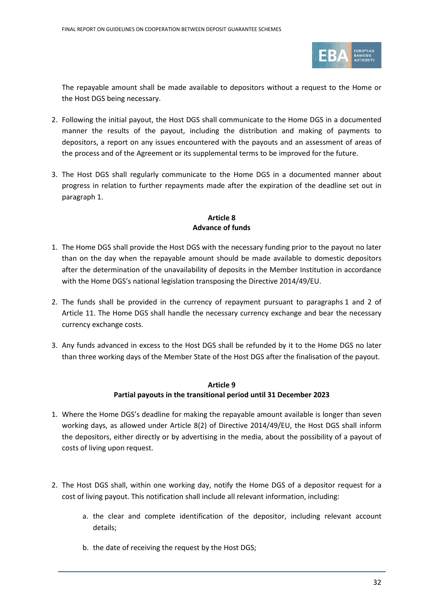

The repayable amount shall be made available to depositors without a request to the Home or the Host DGS being necessary.

- 2. Following the initial payout, the Host DGS shall communicate to the Home DGS in a documented manner the results of the payout, including the distribution and making of payments to depositors, a report on any issues encountered with the payouts and an assessment of areas of the process and of the Agreement or its supplemental terms to be improved for the future.
- 3. The Host DGS shall regularly communicate to the Home DGS in a documented manner about progress in relation to further repayments made after the expiration of the deadline set out in paragraph 1.

## **Article 8 Advance of funds**

- 1. The Home DGS shall provide the Host DGS with the necessary funding prior to the payout no later than on the day when the repayable amount should be made available to domestic depositors after the determination of the unavailability of deposits in the Member Institution in accordance with the Home DGS's national legislation transposing the Directive 2014/49/EU.
- 2. The funds shall be provided in the currency of repayment pursuant to paragraphs 1 and 2 of Article 11. The Home DGS shall handle the necessary currency exchange and bear the necessary currency exchange costs.
- 3. Any funds advanced in excess to the Host DGS shall be refunded by it to the Home DGS no later than three working days of the Member State of the Host DGS after the finalisation of the payout.

#### **Article 9 Partial payouts in the transitional period until 31 December 2023**

- 1. Where the Home DGS's deadline for making the repayable amount available is longer than seven working days, as allowed under Article 8(2) of Directive 2014/49/EU, the Host DGS shall inform the depositors, either directly or by advertising in the media, about the possibility of a payout of costs of living upon request.
- 2. The Host DGS shall, within one working day, notify the Home DGS of a depositor request for a cost of living payout. This notification shall include all relevant information, including:
	- a. the clear and complete identification of the depositor, including relevant account details;
	- b. the date of receiving the request by the Host DGS;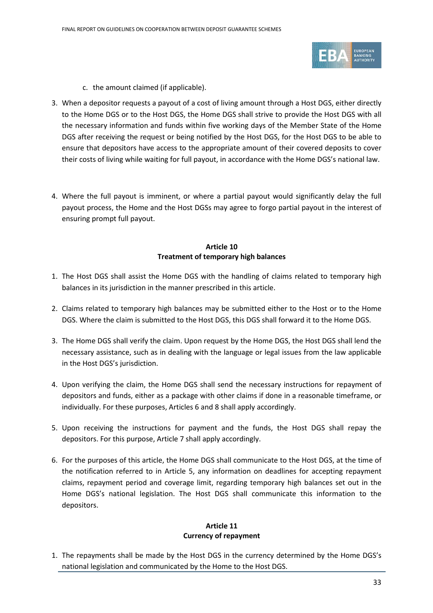

- c. the amount claimed (if applicable).
- 3. When a depositor requests a payout of a cost of living amount through a Host DGS, either directly to the Home DGS or to the Host DGS, the Home DGS shall strive to provide the Host DGS with all the necessary information and funds within five working days of the Member State of the Home DGS after receiving the request or being notified by the Host DGS, for the Host DGS to be able to ensure that depositors have access to the appropriate amount of their covered deposits to cover their costs of living while waiting for full payout, in accordance with the Home DGS's national law.
- 4. Where the full payout is imminent, or where a partial payout would significantly delay the full payout process, the Home and the Host DGSs may agree to forgo partial payout in the interest of ensuring prompt full payout.

## **Article 10 Treatment of temporary high balances**

- 1. The Host DGS shall assist the Home DGS with the handling of claims related to temporary high balances in its jurisdiction in the manner prescribed in this article.
- 2. Claims related to temporary high balances may be submitted either to the Host or to the Home DGS. Where the claim is submitted to the Host DGS, this DGS shall forward it to the Home DGS.
- 3. The Home DGS shall verify the claim. Upon request by the Home DGS, the Host DGS shall lend the necessary assistance, such as in dealing with the language or legal issues from the law applicable in the Host DGS's jurisdiction.
- 4. Upon verifying the claim, the Home DGS shall send the necessary instructions for repayment of depositors and funds, either as a package with other claims if done in a reasonable timeframe, or individually. For these purposes, Articles 6 and 8 shall apply accordingly.
- 5. Upon receiving the instructions for payment and the funds, the Host DGS shall repay the depositors. For this purpose, Article 7 shall apply accordingly.
- 6. For the purposes of this article, the Home DGS shall communicate to the Host DGS, at the time of the notification referred to in Article 5, any information on deadlines for accepting repayment claims, repayment period and coverage limit, regarding temporary high balances set out in the Home DGS's national legislation. The Host DGS shall communicate this information to the depositors.

#### **Article 11 Currency of repayment**

1. The repayments shall be made by the Host DGS in the currency determined by the Home DGS's national legislation and communicated by the Home to the Host DGS.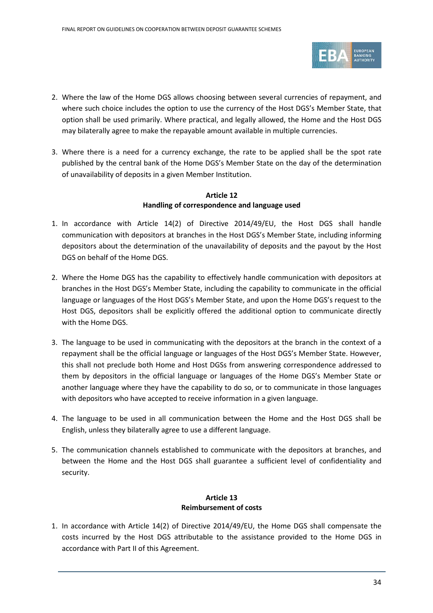

- 2. Where the law of the Home DGS allows choosing between several currencies of repayment, and where such choice includes the option to use the currency of the Host DGS's Member State, that option shall be used primarily. Where practical, and legally allowed, the Home and the Host DGS may bilaterally agree to make the repayable amount available in multiple currencies.
- 3. Where there is a need for a currency exchange, the rate to be applied shall be the spot rate published by the central bank of the Home DGS's Member State on the day of the determination of unavailability of deposits in a given Member Institution.

#### **Article 12 Handling of correspondence and language used**

- 1. In accordance with Article 14(2) of Directive 2014/49/EU, the Host DGS shall handle communication with depositors at branches in the Host DGS's Member State, including informing depositors about the determination of the unavailability of deposits and the payout by the Host DGS on behalf of the Home DGS.
- 2. Where the Home DGS has the capability to effectively handle communication with depositors at branches in the Host DGS's Member State, including the capability to communicate in the official language or languages of the Host DGS's Member State, and upon the Home DGS's request to the Host DGS, depositors shall be explicitly offered the additional option to communicate directly with the Home DGS.
- 3. The language to be used in communicating with the depositors at the branch in the context of a repayment shall be the official language or languages of the Host DGS's Member State. However, this shall not preclude both Home and Host DGSs from answering correspondence addressed to them by depositors in the official language or languages of the Home DGS's Member State or another language where they have the capability to do so, or to communicate in those languages with depositors who have accepted to receive information in a given language.
- 4. The language to be used in all communication between the Home and the Host DGS shall be English, unless they bilaterally agree to use a different language.
- 5. The communication channels established to communicate with the depositors at branches, and between the Home and the Host DGS shall guarantee a sufficient level of confidentiality and security.

## **Article 13 Reimbursement of costs**

1. In accordance with Article 14(2) of Directive 2014/49/EU, the Home DGS shall compensate the costs incurred by the Host DGS attributable to the assistance provided to the Home DGS in accordance with Part II of this Agreement.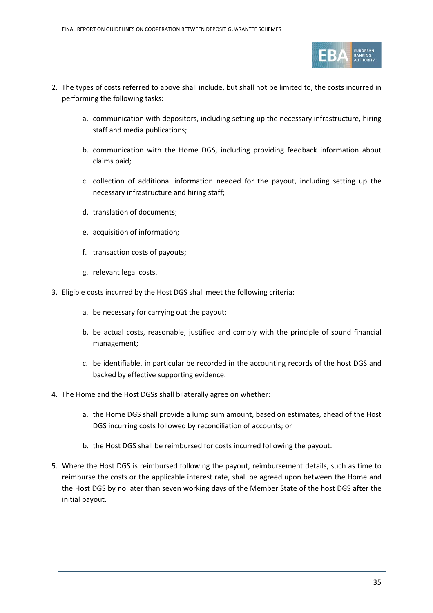

- 2. The types of costs referred to above shall include, but shall not be limited to, the costs incurred in performing the following tasks:
	- a. communication with depositors, including setting up the necessary infrastructure, hiring staff and media publications;
	- b. communication with the Home DGS, including providing feedback information about claims paid;
	- c. collection of additional information needed for the payout, including setting up the necessary infrastructure and hiring staff;
	- d. translation of documents;
	- e. acquisition of information;
	- f. transaction costs of payouts;
	- g. relevant legal costs.
- 3. Eligible costs incurred by the Host DGS shall meet the following criteria:
	- a. be necessary for carrying out the payout;
	- b. be actual costs, reasonable, justified and comply with the principle of sound financial management;
	- c. be identifiable, in particular be recorded in the accounting records of the host DGS and backed by effective supporting evidence.
- 4. The Home and the Host DGSs shall bilaterally agree on whether:
	- a. the Home DGS shall provide a lump sum amount, based on estimates, ahead of the Host DGS incurring costs followed by reconciliation of accounts; or
	- b. the Host DGS shall be reimbursed for costs incurred following the payout.
- 5. Where the Host DGS is reimbursed following the payout, reimbursement details, such as time to reimburse the costs or the applicable interest rate, shall be agreed upon between the Home and the Host DGS by no later than seven working days of the Member State of the host DGS after the initial payout.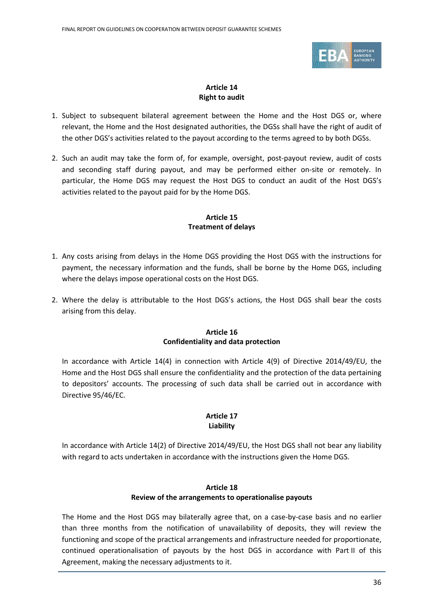

## **Article 14 Right to audit**

- 1. Subject to subsequent bilateral agreement between the Home and the Host DGS or, where relevant, the Home and the Host designated authorities, the DGSs shall have the right of audit of the other DGS's activities related to the payout according to the terms agreed to by both DGSs.
- 2. Such an audit may take the form of, for example, oversight, post-payout review, audit of costs and seconding staff during payout, and may be performed either on-site or remotely. In particular, the Home DGS may request the Host DGS to conduct an audit of the Host DGS's activities related to the payout paid for by the Home DGS.

### **Article 15 Treatment of delays**

- 1. Any costs arising from delays in the Home DGS providing the Host DGS with the instructions for payment, the necessary information and the funds, shall be borne by the Home DGS, including where the delays impose operational costs on the Host DGS.
- 2. Where the delay is attributable to the Host DGS's actions, the Host DGS shall bear the costs arising from this delay.

## **Article 16 Confidentiality and data protection**

In accordance with Article 14(4) in connection with Article 4(9) of Directive 2014/49/EU, the Home and the Host DGS shall ensure the confidentiality and the protection of the data pertaining to depositors' accounts. The processing of such data shall be carried out in accordance with Directive 95/46/EC.

#### **Article 17 Liability**

In accordance with Article 14(2) of Directive 2014/49/EU, the Host DGS shall not bear any liability with regard to acts undertaken in accordance with the instructions given the Home DGS.

## **Article 18 Review of the arrangements to operationalise payouts**

The Home and the Host DGS may bilaterally agree that, on a case-by-case basis and no earlier than three months from the notification of unavailability of deposits, they will review the functioning and scope of the practical arrangements and infrastructure needed for proportionate, continued operationalisation of payouts by the host DGS in accordance with Part II of this Agreement, making the necessary adjustments to it.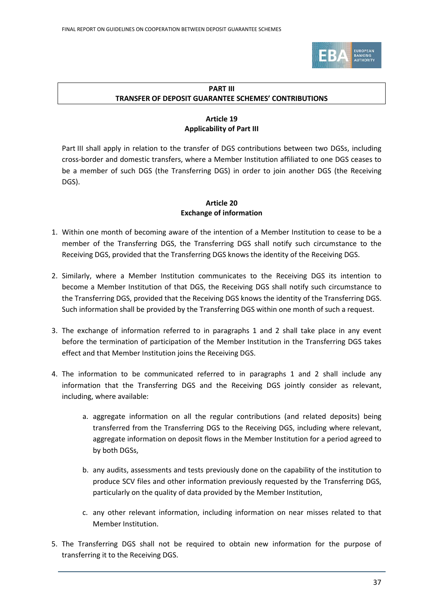

#### **PART III TRANSFER OF DEPOSIT GUARANTEE SCHEMES' CONTRIBUTIONS**

#### **Article 19 Applicability of Part III**

Part III shall apply in relation to the transfer of DGS contributions between two DGSs, including cross-border and domestic transfers, where a Member Institution affiliated to one DGS ceases to be a member of such DGS (the Transferring DGS) in order to join another DGS (the Receiving DGS).

#### **Article 20 Exchange of information**

- 1. Within one month of becoming aware of the intention of a Member Institution to cease to be a member of the Transferring DGS, the Transferring DGS shall notify such circumstance to the Receiving DGS, provided that the Transferring DGS knows the identity of the Receiving DGS.
- 2. Similarly, where a Member Institution communicates to the Receiving DGS its intention to become a Member Institution of that DGS, the Receiving DGS shall notify such circumstance to the Transferring DGS, provided that the Receiving DGS knows the identity of the Transferring DGS. Such information shall be provided by the Transferring DGS within one month of such a request.
- 3. The exchange of information referred to in paragraphs 1 and 2 shall take place in any event before the termination of participation of the Member Institution in the Transferring DGS takes effect and that Member Institution joins the Receiving DGS.
- 4. The information to be communicated referred to in paragraphs 1 and 2 shall include any information that the Transferring DGS and the Receiving DGS jointly consider as relevant, including, where available:
	- a. aggregate information on all the regular contributions (and related deposits) being transferred from the Transferring DGS to the Receiving DGS, including where relevant, aggregate information on deposit flows in the Member Institution for a period agreed to by both DGSs,
	- b. any audits, assessments and tests previously done on the capability of the institution to produce SCV files and other information previously requested by the Transferring DGS, particularly on the quality of data provided by the Member Institution,
	- c. any other relevant information, including information on near misses related to that Member Institution.
- 5. The Transferring DGS shall not be required to obtain new information for the purpose of transferring it to the Receiving DGS.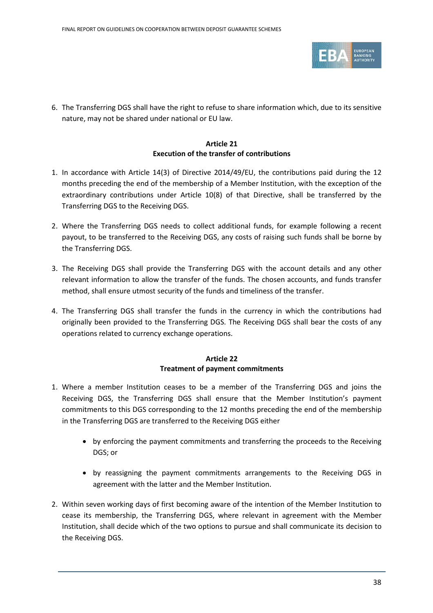

6. The Transferring DGS shall have the right to refuse to share information which, due to its sensitive nature, may not be shared under national or EU law.

#### **Article 21 Execution of the transfer of contributions**

- 1. In accordance with Article 14(3) of Directive 2014/49/EU, the contributions paid during the 12 months preceding the end of the membership of a Member Institution, with the exception of the extraordinary contributions under Article 10(8) of that Directive, shall be transferred by the Transferring DGS to the Receiving DGS.
- 2. Where the Transferring DGS needs to collect additional funds, for example following a recent payout, to be transferred to the Receiving DGS, any costs of raising such funds shall be borne by the Transferring DGS.
- 3. The Receiving DGS shall provide the Transferring DGS with the account details and any other relevant information to allow the transfer of the funds. The chosen accounts, and funds transfer method, shall ensure utmost security of the funds and timeliness of the transfer.
- 4. The Transferring DGS shall transfer the funds in the currency in which the contributions had originally been provided to the Transferring DGS. The Receiving DGS shall bear the costs of any operations related to currency exchange operations.

#### **Article 22 Treatment of payment commitments**

- 1. Where a member Institution ceases to be a member of the Transferring DGS and joins the Receiving DGS, the Transferring DGS shall ensure that the Member Institution's payment commitments to this DGS corresponding to the 12 months preceding the end of the membership in the Transferring DGS are transferred to the Receiving DGS either
	- by enforcing the payment commitments and transferring the proceeds to the Receiving DGS; or
	- by reassigning the payment commitments arrangements to the Receiving DGS in agreement with the latter and the Member Institution.
- 2. Within seven working days of first becoming aware of the intention of the Member Institution to cease its membership, the Transferring DGS, where relevant in agreement with the Member Institution, shall decide which of the two options to pursue and shall communicate its decision to the Receiving DGS.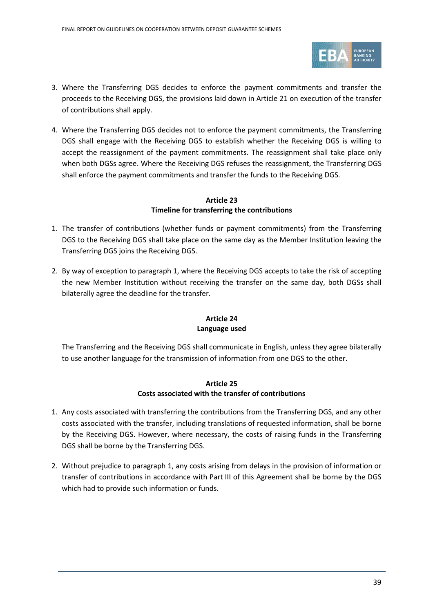

- 3. Where the Transferring DGS decides to enforce the payment commitments and transfer the proceeds to the Receiving DGS, the provisions laid down in Article 21 on execution of the transfer of contributions shall apply.
- 4. Where the Transferring DGS decides not to enforce the payment commitments, the Transferring DGS shall engage with the Receiving DGS to establish whether the Receiving DGS is willing to accept the reassignment of the payment commitments. The reassignment shall take place only when both DGSs agree. Where the Receiving DGS refuses the reassignment, the Transferring DGS shall enforce the payment commitments and transfer the funds to the Receiving DGS.

#### **Article 23 Timeline for transferring the contributions**

- 1. The transfer of contributions (whether funds or payment commitments) from the Transferring DGS to the Receiving DGS shall take place on the same day as the Member Institution leaving the Transferring DGS joins the Receiving DGS.
- 2. By way of exception to paragraph 1, where the Receiving DGS accepts to take the risk of accepting the new Member Institution without receiving the transfer on the same day, both DGSs shall bilaterally agree the deadline for the transfer.

#### **Article 24 Language used**

The Transferring and the Receiving DGS shall communicate in English, unless they agree bilaterally to use another language for the transmission of information from one DGS to the other.

#### **Article 25 Costs associated with the transfer of contributions**

- 1. Any costs associated with transferring the contributions from the Transferring DGS, and any other costs associated with the transfer, including translations of requested information, shall be borne by the Receiving DGS. However, where necessary, the costs of raising funds in the Transferring DGS shall be borne by the Transferring DGS.
- 2. Without prejudice to paragraph 1, any costs arising from delays in the provision of information or transfer of contributions in accordance with Part III of this Agreement shall be borne by the DGS which had to provide such information or funds.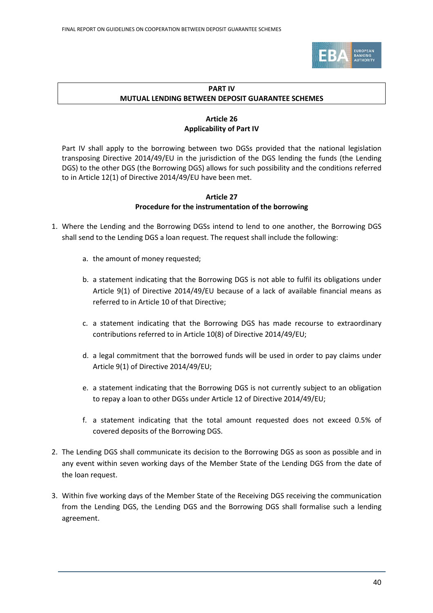

#### **PART IV MUTUAL LENDING BETWEEN DEPOSIT GUARANTEE SCHEMES**

#### **Article 26 Applicability of Part IV**

Part IV shall apply to the borrowing between two DGSs provided that the national legislation transposing Directive 2014/49/EU in the jurisdiction of the DGS lending the funds (the Lending DGS) to the other DGS (the Borrowing DGS) allows for such possibility and the conditions referred to in Article 12(1) of Directive 2014/49/EU have been met.

#### **Article 27 Procedure for the instrumentation of the borrowing**

- 1. Where the Lending and the Borrowing DGSs intend to lend to one another, the Borrowing DGS shall send to the Lending DGS a loan request. The request shall include the following:
	- a. the amount of money requested;
	- b. a statement indicating that the Borrowing DGS is not able to fulfil its obligations under Article 9(1) of Directive 2014/49/EU because of a lack of available financial means as referred to in Article 10 of that Directive;
	- c. a statement indicating that the Borrowing DGS has made recourse to extraordinary contributions referred to in Article 10(8) of Directive 2014/49/EU;
	- d. a legal commitment that the borrowed funds will be used in order to pay claims under Article 9(1) of Directive 2014/49/EU;
	- e. a statement indicating that the Borrowing DGS is not currently subject to an obligation to repay a loan to other DGSs under Article 12 of Directive 2014/49/EU;
	- f. a statement indicating that the total amount requested does not exceed 0.5% of covered deposits of the Borrowing DGS.
- 2. The Lending DGS shall communicate its decision to the Borrowing DGS as soon as possible and in any event within seven working days of the Member State of the Lending DGS from the date of the loan request.
- 3. Within five working days of the Member State of the Receiving DGS receiving the communication from the Lending DGS, the Lending DGS and the Borrowing DGS shall formalise such a lending agreement.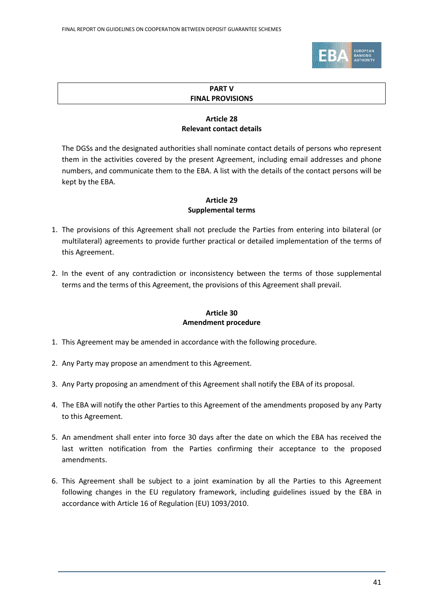

#### **PART V FINAL PROVISIONS**

#### **Article 28 Relevant contact details**

The DGSs and the designated authorities shall nominate contact details of persons who represent them in the activities covered by the present Agreement, including email addresses and phone numbers, and communicate them to the EBA. A list with the details of the contact persons will be kept by the EBA.

#### **Article 29 Supplemental terms**

- 1. The provisions of this Agreement shall not preclude the Parties from entering into bilateral (or multilateral) agreements to provide further practical or detailed implementation of the terms of this Agreement.
- 2. In the event of any contradiction or inconsistency between the terms of those supplemental terms and the terms of this Agreement, the provisions of this Agreement shall prevail.

#### **Article 30 Amendment procedure**

- 1. This Agreement may be amended in accordance with the following procedure.
- 2. Any Party may propose an amendment to this Agreement.
- 3. Any Party proposing an amendment of this Agreement shall notify the EBA of its proposal.
- 4. The EBA will notify the other Parties to this Agreement of the amendments proposed by any Party to this Agreement.
- 5. An amendment shall enter into force 30 days after the date on which the EBA has received the last written notification from the Parties confirming their acceptance to the proposed amendments.
- 6. This Agreement shall be subject to a joint examination by all the Parties to this Agreement following changes in the EU regulatory framework, including guidelines issued by the EBA in accordance with Article 16 of Regulation (EU) 1093/2010.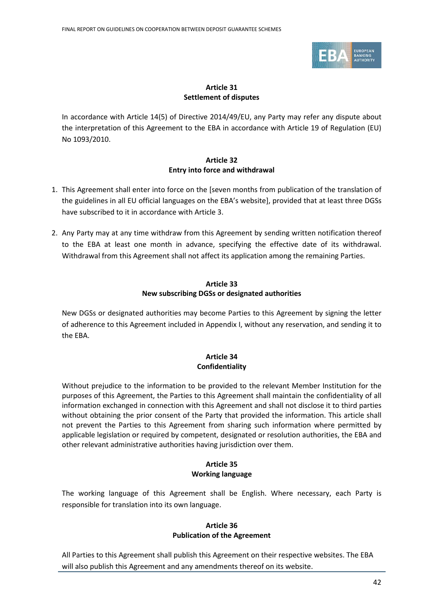

#### **Article 31 Settlement of disputes**

In accordance with Article 14(5) of Directive 2014/49/EU, any Party may refer any dispute about the interpretation of this Agreement to the EBA in accordance with Article 19 of Regulation (EU) No 1093/2010.

#### **Article 32 Entry into force and withdrawal**

- 1. This Agreement shall enter into force on the [seven months from publication of the translation of the guidelines in all EU official languages on the EBA's website], provided that at least three DGSs have subscribed to it in accordance with Article 3.
- 2. Any Party may at any time withdraw from this Agreement by sending written notification thereof to the EBA at least one month in advance, specifying the effective date of its withdrawal. Withdrawal from this Agreement shall not affect its application among the remaining Parties.

#### **Article 33 New subscribing DGSs or designated authorities**

New DGSs or designated authorities may become Parties to this Agreement by signing the letter of adherence to this Agreement included in Appendix I, without any reservation, and sending it to the EBA.

#### **Article 34 Confidentiality**

Without prejudice to the information to be provided to the relevant Member Institution for the purposes of this Agreement, the Parties to this Agreement shall maintain the confidentiality of all information exchanged in connection with this Agreement and shall not disclose it to third parties without obtaining the prior consent of the Party that provided the information. This article shall not prevent the Parties to this Agreement from sharing such information where permitted by applicable legislation or required by competent, designated or resolution authorities, the EBA and other relevant administrative authorities having jurisdiction over them.

#### **Article 35 Working language**

The working language of this Agreement shall be English. Where necessary, each Party is responsible for translation into its own language.

#### **Article 36 Publication of the Agreement**

All Parties to this Agreement shall publish this Agreement on their respective websites. The EBA will also publish this Agreement and any amendments thereof on its website.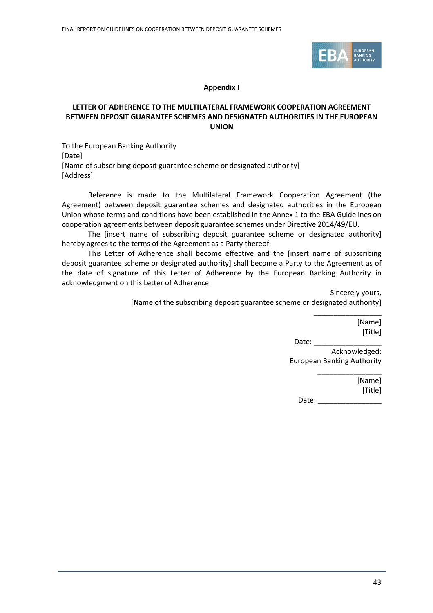

#### **Appendix I**

#### **LETTER OF ADHERENCE TO THE MULTILATERAL FRAMEWORK COOPERATION AGREEMENT BETWEEN DEPOSIT GUARANTEE SCHEMES AND DESIGNATED AUTHORITIES IN THE EUROPEAN UNION**

To the European Banking Authority [Date] [Name of subscribing deposit guarantee scheme or designated authority] [Address]

Reference is made to the Multilateral Framework Cooperation Agreement (the Agreement) between deposit guarantee schemes and designated authorities in the European Union whose terms and conditions have been established in the Annex 1 to the EBA Guidelines on cooperation agreements between deposit guarantee schemes under Directive 2014/49/EU.

The [insert name of subscribing deposit guarantee scheme or designated authority] hereby agrees to the terms of the Agreement as a Party thereof.

This Letter of Adherence shall become effective and the [insert name of subscribing deposit guarantee scheme or designated authority] shall become a Party to the Agreement as of the date of signature of this Letter of Adherence by the European Banking Authority in acknowledgment on this Letter of Adherence.

> Sincerely yours, [Name of the subscribing deposit guarantee scheme or designated authority]

> > \_\_\_\_\_\_\_\_\_\_\_\_\_\_\_\_\_ [Name] [Title]

Date:

Acknowledged: European Banking Authority

\_\_\_\_\_\_\_\_\_\_\_\_\_\_\_\_

[Name] [Title]

Date:  $\qquad \qquad$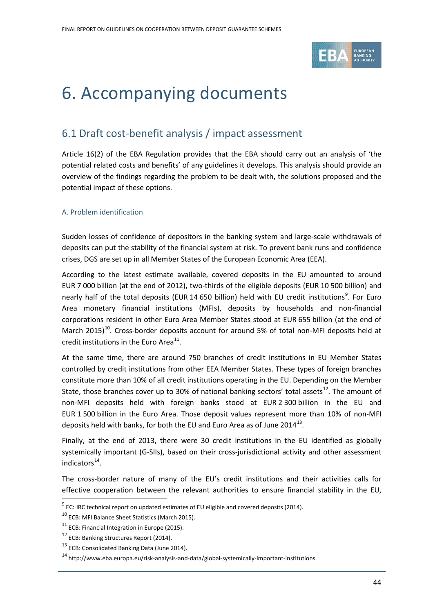

# 6. Accompanying documents

## 6.1 Draft cost-benefit analysis / impact assessment

Article 16(2) of the EBA Regulation provides that the EBA should carry out an analysis of 'the potential related costs and benefits' of any guidelines it develops. This analysis should provide an overview of the findings regarding the problem to be dealt with, the solutions proposed and the potential impact of these options.

#### A. Problem identification

Sudden losses of confidence of depositors in the banking system and large-scale withdrawals of deposits can put the stability of the financial system at risk. To prevent bank runs and confidence crises, DGS are set up in all Member States of the European Economic Area (EEA).

According to the latest estimate available, covered deposits in the EU amounted to around EUR 7 000 billion (at the end of 2012), two-thirds of the eligible deposits (EUR 10 500 billion) and nearly half of the total deposits (EUR 14 650 billion) held with EU credit institutions<sup>[9](#page-43-0)</sup>. For Euro Area monetary financial institutions (MFIs), deposits by households and non-financial corporations resident in other Euro Area Member States stood at EUR 655 billion (at the end of March 2015)<sup>10</sup>. Cross-border deposits account for around 5% of total non-MFI deposits held at credit institutions in the Euro Area $^{11}$  $^{11}$  $^{11}$ .

At the same time, there are around 750 branches of credit institutions in EU Member States controlled by credit institutions from other EEA Member States. These types of foreign branches constitute more than 10% of all credit institutions operating in the EU. Depending on the Member State, those branches cover up to 30% of national banking sectors' total assets<sup>12</sup>. The amount of non-MFI deposits held with foreign banks stood at EUR 2 300 billion in the EU and EUR 1 500 billion in the Euro Area. Those deposit values represent more than 10% of non-MFI deposits held with banks, for both the EU and Euro Area as of June 2014<sup>13</sup>.

Finally, at the end of 2013, there were 30 credit institutions in the EU identified as globally systemically important (G-SIIs), based on their cross-jurisdictional activity and other assessment indicators $^{14}$ .

The cross-border nature of many of the EU's credit institutions and their activities calls for effective cooperation between the relevant authorities to ensure financial stability in the EU,

<span id="page-43-0"></span> $9$  EC: JRC technical report on updated estimates of EU eligible and covered deposits (2014).

<span id="page-43-1"></span><sup>10</sup> ECB: MFI Balance Sheet Statistics (March 2015).

<span id="page-43-2"></span><sup>&</sup>lt;sup>11</sup> ECB: Financial Integration in Europe (2015).

<span id="page-43-3"></span><sup>&</sup>lt;sup>12</sup> ECB: Banking Structures Report (2014).

<span id="page-43-4"></span><sup>13</sup> ECB: Consolidated Banking Data (June 2014).

<span id="page-43-5"></span><sup>&</sup>lt;sup>14</sup> http://www.eba.europa.eu/risk-analysis-and-data/global-systemically-important-institutions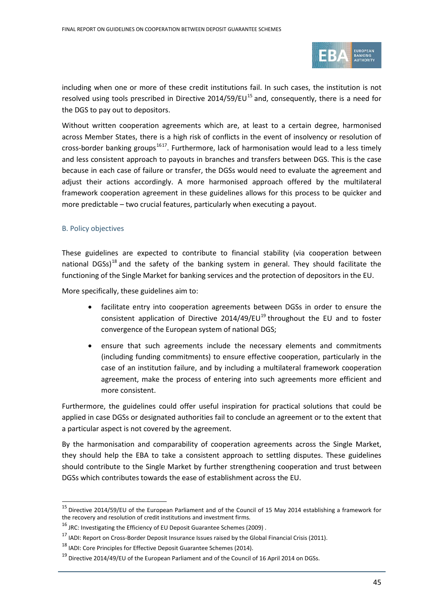

including when one or more of these credit institutions fail. In such cases, the institution is not resolved using tools prescribed in Directive 2014/59/EU<sup>[15](#page-44-0)</sup> and, consequently, there is a need for the DGS to pay out to depositors.

Without written cooperation agreements which are, at least to a certain degree, harmonised across Member States, there is a high risk of conflicts in the event of insolvency or resolution of cross-border banking groups<sup>[16](#page-44-1)17</sup>. Furthermore, lack of harmonisation would lead to a less timely and less consistent approach to payouts in branches and transfers between DGS. This is the case because in each case of failure or transfer, the DGSs would need to evaluate the agreement and adjust their actions accordingly. A more harmonised approach offered by the multilateral framework cooperation agreement in these guidelines allows for this process to be quicker and more predictable – two crucial features, particularly when executing a payout.

#### B. Policy objectives

 $\overline{a}$ 

These guidelines are expected to contribute to financial stability (via cooperation between national DGSs)<sup>[18](#page-44-3)</sup> and the safety of the banking system in general. They should facilitate the functioning of the Single Market for banking services and the protection of depositors in the EU.

More specifically, these guidelines aim to:

- facilitate entry into cooperation agreements between DGSs in order to ensure the consistent application of Directive 2014/49/EU<sup>[19](#page-44-4)</sup> throughout the EU and to foster convergence of the European system of national DGS;
- ensure that such agreements include the necessary elements and commitments (including funding commitments) to ensure effective cooperation, particularly in the case of an institution failure, and by including a multilateral framework cooperation agreement, make the process of entering into such agreements more efficient and more consistent.

Furthermore, the guidelines could offer useful inspiration for practical solutions that could be applied in case DGSs or designated authorities fail to conclude an agreement or to the extent that a particular aspect is not covered by the agreement.

By the harmonisation and comparability of cooperation agreements across the Single Market, they should help the EBA to take a consistent approach to settling disputes. These guidelines should contribute to the Single Market by further strengthening cooperation and trust between DGSs which contributes towards the ease of establishment across the EU.

<span id="page-44-0"></span><sup>&</sup>lt;sup>15</sup> Directive 2014/59/EU of the European Parliament and of the Council of 15 May 2014 establishing a framework for the recovery and resolution of credit institutions and investment firms.

<span id="page-44-1"></span> $^{16}$  JRC: Investigating the Efficiency of EU Deposit Guarantee Schemes (2009).

<span id="page-44-2"></span><sup>&</sup>lt;sup>17</sup> IADI: Report on Cross-Border Deposit Insurance Issues raised by the Global Financial Crisis (2011).

<span id="page-44-3"></span><sup>18</sup> IADI: Core Principles for Effective Deposit Guarantee Schemes (2014).

<span id="page-44-4"></span><sup>&</sup>lt;sup>19</sup> Directive 2014/49/EU of the European Parliament and of the Council of 16 April 2014 on DGSs.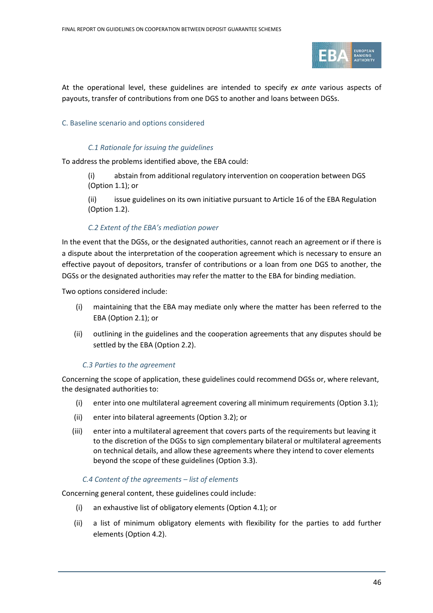

At the operational level, these guidelines are intended to specify *ex ante* various aspects of payouts, transfer of contributions from one DGS to another and loans between DGSs.

#### C. Baseline scenario and options considered

#### *C.1 Rationale for issuing the guidelines*

To address the problems identified above, the EBA could:

(i) abstain from additional regulatory intervention on cooperation between DGS (Option 1.1); or

(ii) issue guidelines on its own initiative pursuant to Article 16 of the EBA Regulation (Option 1.2).

#### *C.2 Extent of the EBA's mediation power*

In the event that the DGSs, or the designated authorities, cannot reach an agreement or if there is a dispute about the interpretation of the cooperation agreement which is necessary to ensure an effective payout of depositors, transfer of contributions or a loan from one DGS to another, the DGSs or the designated authorities may refer the matter to the EBA for binding mediation.

Two options considered include:

- (i) maintaining that the EBA may mediate only where the matter has been referred to the EBA (Option 2.1); or
- (ii) outlining in the guidelines and the cooperation agreements that any disputes should be settled by the EBA (Option 2.2).

#### *C.3 Parties to the agreement*

Concerning the scope of application, these guidelines could recommend DGSs or, where relevant, the designated authorities to:

- (i) enter into one multilateral agreement covering all minimum requirements (Option 3.1);
- (ii) enter into bilateral agreements (Option 3.2); or
- (iii) enter into a multilateral agreement that covers parts of the requirements but leaving it to the discretion of the DGSs to sign complementary bilateral or multilateral agreements on technical details, and allow these agreements where they intend to cover elements beyond the scope of these guidelines (Option 3.3).

#### *C.4 Content of the agreements – list of elements*

Concerning general content, these guidelines could include:

- (i) an exhaustive list of obligatory elements (Option 4.1); or
- (ii) a list of minimum obligatory elements with flexibility for the parties to add further elements (Option 4.2).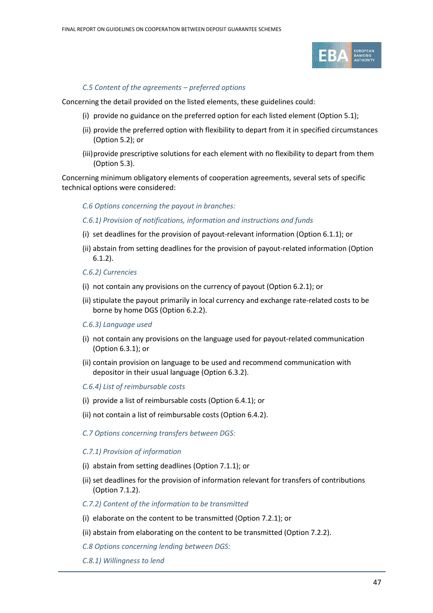

#### *C.5 Content of the agreements – preferred options*

Concerning the detail provided on the listed elements, these guidelines could:

- (i) provide no guidance on the preferred option for each listed element (Option 5.1);
- (ii) provide the preferred option with flexibility to depart from it in specified circumstances (Option 5.2); or
- (iii)provide prescriptive solutions for each element with no flexibility to depart from them (Option 5.3).

Concerning minimum obligatory elements of cooperation agreements, several sets of specific technical options were considered:

*C.6 Options concerning the payout in branches:*

#### *C.6.1) Provision of notifications, information and instructions and funds*

- (i) set deadlines for the provision of payout-relevant information (Option 6.1.1); or
- (ii) abstain from setting deadlines for the provision of payout-related information (Option 6.1.2).

*C.6.2) Currencies*

- (i) not contain any provisions on the currency of payout (Option 6.2.1); or
- (ii) stipulate the payout primarily in local currency and exchange rate-related costs to be borne by home DGS (Option 6.2.2).
- *C.6.3) Language used*
- (i) not contain any provisions on the language used for payout-related communication (Option 6.3.1); or
- (ii) contain provision on language to be used and recommend communication with depositor in their usual language (Option 6.3.2).
- *C.6.4) List of reimbursable costs*
- (i) provide a list of reimbursable costs (Option 6.4.1); or
- (ii) not contain a list of reimbursable costs (Option 6.4.2).
- *C.7 Options concerning transfers between DGS:*
- *C.7.1) Provision of information*
- (i) abstain from setting deadlines (Option 7.1.1); or
- (ii) set deadlines for the provision of information relevant for transfers of contributions (Option 7.1.2).
- *C.7.2) Content of the information to be transmitted*
- (i) elaborate on the content to be transmitted (Option 7.2.1); or
- (ii) abstain from elaborating on the content to be transmitted (Option 7.2.2).
- *C.8 Options concerning lending between DGS:*
- *C.8.1) Willingness to lend*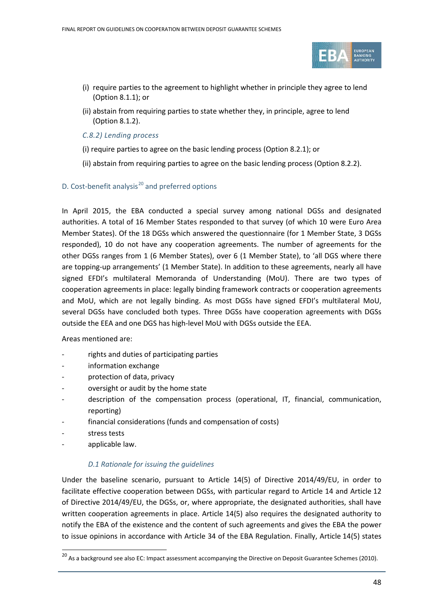

- (i) require parties to the agreement to highlight whether in principle they agree to lend (Option 8.1.1); or
- (ii) abstain from requiring parties to state whether they, in principle, agree to lend (Option 8.1.2).
- *C.8.2) Lending process*
- (i) require parties to agree on the basic lending process (Option 8.2.1); or
- (ii) abstain from requiring parties to agree on the basic lending process (Option 8.2.2).

#### D. Cost-benefit analysis $^{20}$  $^{20}$  $^{20}$  and preferred options

In April 2015, the EBA conducted a special survey among national DGSs and designated authorities. A total of 16 Member States responded to that survey (of which 10 were Euro Area Member States). Of the 18 DGSs which answered the questionnaire (for 1 Member State, 3 DGSs responded), 10 do not have any cooperation agreements. The number of agreements for the other DGSs ranges from 1 (6 Member States), over 6 (1 Member State), to 'all DGS where there are topping-up arrangements' (1 Member State). In addition to these agreements, nearly all have signed EFDI's multilateral Memoranda of Understanding (MoU). There are two types of cooperation agreements in place: legally binding framework contracts or cooperation agreements and MoU, which are not legally binding. As most DGSs have signed EFDI's multilateral MoU, several DGSs have concluded both types. Three DGSs have cooperation agreements with DGSs outside the EEA and one DGS has high-level MoU with DGSs outside the EEA.

Areas mentioned are:

- rights and duties of participating parties
- information exchange
- protection of data, privacy
- oversight or audit by the home state
- description of the compensation process (operational, IT, financial, communication, reporting)
- financial considerations (funds and compensation of costs)
- stress tests

 $\overline{a}$ 

applicable law.

#### *D.1 Rationale for issuing the guidelines*

Under the baseline scenario, pursuant to Article 14(5) of Directive 2014/49/EU, in order to facilitate effective cooperation between DGSs, with particular regard to Article 14 and Article 12 of Directive 2014/49/EU, the DGSs, or, where appropriate, the designated authorities, shall have written cooperation agreements in place. Article 14(5) also requires the designated authority to notify the EBA of the existence and the content of such agreements and gives the EBA the power to issue opinions in accordance with Article 34 of the EBA Regulation. Finally, Article 14(5) states

<span id="page-47-0"></span> $^{20}$  As a background see also EC: Impact assessment accompanying the Directive on Deposit Guarantee Schemes (2010).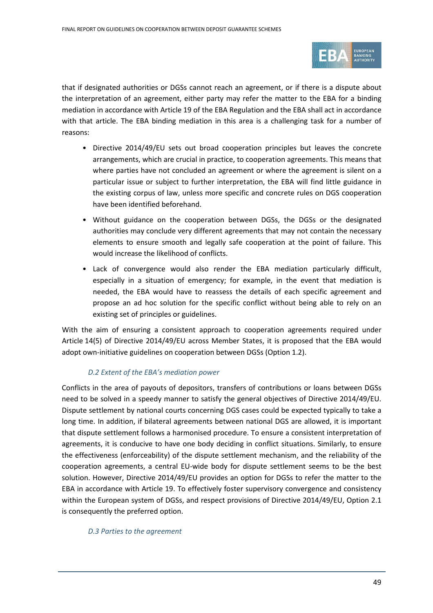

that if designated authorities or DGSs cannot reach an agreement, or if there is a dispute about the interpretation of an agreement, either party may refer the matter to the EBA for a binding mediation in accordance with Article 19 of the EBA Regulation and the EBA shall act in accordance with that article. The EBA binding mediation in this area is a challenging task for a number of reasons:

- Directive 2014/49/EU sets out broad cooperation principles but leaves the concrete arrangements, which are crucial in practice, to cooperation agreements. This means that where parties have not concluded an agreement or where the agreement is silent on a particular issue or subject to further interpretation, the EBA will find little guidance in the existing corpus of law, unless more specific and concrete rules on DGS cooperation have been identified beforehand.
- Without guidance on the cooperation between DGSs, the DGSs or the designated authorities may conclude very different agreements that may not contain the necessary elements to ensure smooth and legally safe cooperation at the point of failure. This would increase the likelihood of conflicts.
- Lack of convergence would also render the EBA mediation particularly difficult, especially in a situation of emergency; for example, in the event that mediation is needed, the EBA would have to reassess the details of each specific agreement and propose an ad hoc solution for the specific conflict without being able to rely on an existing set of principles or guidelines.

With the aim of ensuring a consistent approach to cooperation agreements required under Article 14(5) of Directive 2014/49/EU across Member States, it is proposed that the EBA would adopt own-initiative guidelines on cooperation between DGSs (Option 1.2).

#### *D.2 Extent of the EBA's mediation power*

Conflicts in the area of payouts of depositors, transfers of contributions or loans between DGSs need to be solved in a speedy manner to satisfy the general objectives of Directive 2014/49/EU. Dispute settlement by national courts concerning DGS cases could be expected typically to take a long time. In addition, if bilateral agreements between national DGS are allowed, it is important that dispute settlement follows a harmonised procedure. To ensure a consistent interpretation of agreements, it is conducive to have one body deciding in conflict situations. Similarly, to ensure the effectiveness (enforceability) of the dispute settlement mechanism, and the reliability of the cooperation agreements, a central EU-wide body for dispute settlement seems to be the best solution. However, Directive 2014/49/EU provides an option for DGSs to refer the matter to the EBA in accordance with Article 19. To effectively foster supervisory convergence and consistency within the European system of DGSs, and respect provisions of Directive 2014/49/EU, Option 2.1 is consequently the preferred option.

#### *D.3 Parties to the agreement*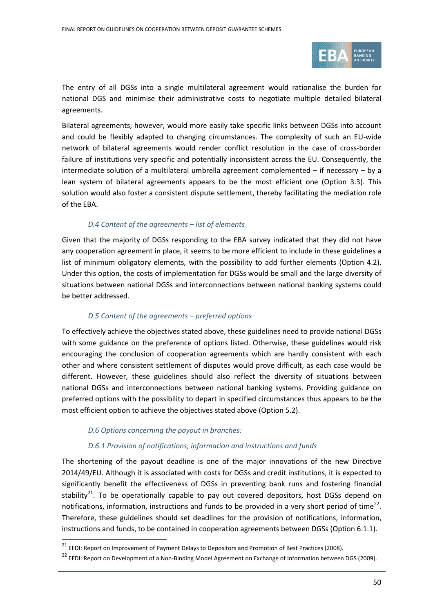

The entry of all DGSs into a single multilateral agreement would rationalise the burden for national DGS and minimise their administrative costs to negotiate multiple detailed bilateral agreements.

Bilateral agreements, however, would more easily take specific links between DGSs into account and could be flexibly adapted to changing circumstances. The complexity of such an EU-wide network of bilateral agreements would render conflict resolution in the case of cross-border failure of institutions very specific and potentially inconsistent across the EU. Consequently, the intermediate solution of a multilateral umbrella agreement complemented – if necessary – by a lean system of bilateral agreements appears to be the most efficient one (Option 3.3). This solution would also foster a consistent dispute settlement, thereby facilitating the mediation role of the EBA.

#### *D.4 Content of the agreements – list of elements*

Given that the majority of DGSs responding to the EBA survey indicated that they did not have any cooperation agreement in place, it seems to be more efficient to include in these guidelines a list of minimum obligatory elements, with the possibility to add further elements (Option 4.2). Under this option, the costs of implementation for DGSs would be small and the large diversity of situations between national DGSs and interconnections between national banking systems could be better addressed.

#### *D.5 Content of the agreements – preferred options*

To effectively achieve the objectives stated above, these guidelines need to provide national DGSs with some guidance on the preference of options listed. Otherwise, these guidelines would risk encouraging the conclusion of cooperation agreements which are hardly consistent with each other and where consistent settlement of disputes would prove difficult, as each case would be different. However, these guidelines should also reflect the diversity of situations between national DGSs and interconnections between national banking systems. Providing guidance on preferred options with the possibility to depart in specified circumstances thus appears to be the most efficient option to achieve the objectives stated above (Option 5.2).

#### *D.6 Options concerning the payout in branches:*

 $\overline{a}$ 

#### *D.6.1 Provision of notifications, information and instructions and funds*

The shortening of the payout deadline is one of the major innovations of the new Directive 2014/49/EU. Although it is associated with costs for DGSs and credit institutions, it is expected to significantly benefit the effectiveness of DGSs in preventing bank runs and fostering financial stability<sup>21</sup>. To be operationally capable to pay out covered depositors, host DGSs depend on notifications, information, instructions and funds to be provided in a very short period of time<sup>[22](#page-49-1)</sup>. Therefore, these guidelines should set deadlines for the provision of notifications, information, instructions and funds, to be contained in cooperation agreements between DGSs (Option 6.1.1).

<span id="page-49-0"></span><sup>&</sup>lt;sup>21</sup> EFDI: Report on Improvement of Payment Delays to Depositors and Promotion of Best Practices (2008).

<span id="page-49-1"></span><sup>&</sup>lt;sup>22</sup> EFDI: Report on Development of a Non-Binding Model Agreement on Exchange of Information between DGS (2009).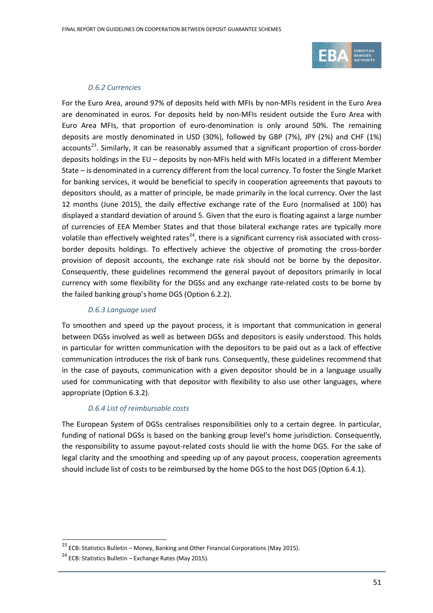

#### *D.6.2 Currencies*

For the Euro Area, around 97% of deposits held with MFIs by non-MFIs resident in the Euro Area are denominated in euros. For deposits held by non-MFIs resident outside the Euro Area with Euro Area MFIs, that proportion of euro-denomination is only around 50%. The remaining deposits are mostly denominated in USD (30%), followed by GBP (7%), JPY (2%) and CHF (1%) accounts<sup>[23](#page-50-0)</sup>. Similarly, it can be reasonably assumed that a significant proportion of cross-border deposits holdings in the EU – deposits by non-MFIs held with MFIs located in a different Member State – is denominated in a currency different from the local currency. To foster the Single Market for banking services, it would be beneficial to specify in cooperation agreements that payouts to depositors should, as a matter of principle, be made primarily in the local currency. Over the last 12 months (June 2015), the daily effective exchange rate of the Euro (normalised at 100) has displayed a standard deviation of around 5. Given that the euro is floating against a large number of currencies of EEA Member States and that those bilateral exchange rates are typically more volatile than effectively weighted rates<sup>[24](#page-50-1)</sup>, there is a significant currency risk associated with crossborder deposits holdings. To effectively achieve the objective of promoting the cross-border provision of deposit accounts, the exchange rate risk should not be borne by the depositor. Consequently, these guidelines recommend the general payout of depositors primarily in local currency with some flexibility for the DGSs and any exchange rate-related costs to be borne by the failed banking group's home DGS (Option 6.2.2).

#### *D.6.3 Language used*

To smoothen and speed up the payout process, it is important that communication in general between DGSs involved as well as between DGSs and depositors is easily understood. This holds in particular for written communication with the depositors to be paid out as a lack of effective communication introduces the risk of bank runs. Consequently, these guidelines recommend that in the case of payouts, communication with a given depositor should be in a language usually used for communicating with that depositor with flexibility to also use other languages, where appropriate (Option 6.3.2).

#### *D.6.4 List of reimbursable costs*

The European System of DGSs centralises responsibilities only to a certain degree. In particular, funding of national DGSs is based on the banking group level's home jurisdiction. Consequently, the responsibility to assume payout-related costs should lie with the home DGS. For the sake of legal clarity and the smoothing and speeding up of any payout process, cooperation agreements should include list of costs to be reimbursed by the home DGS to the host DGS (Option 6.4.1).

 $\overline{a}$ 

<span id="page-50-0"></span><sup>&</sup>lt;sup>23</sup> ECB: Statistics Bulletin – Money, Banking and Other Financial Corporations (May 2015).

<span id="page-50-1"></span> $24$  ECB: Statistics Bulletin – Exchange Rates (May 2015).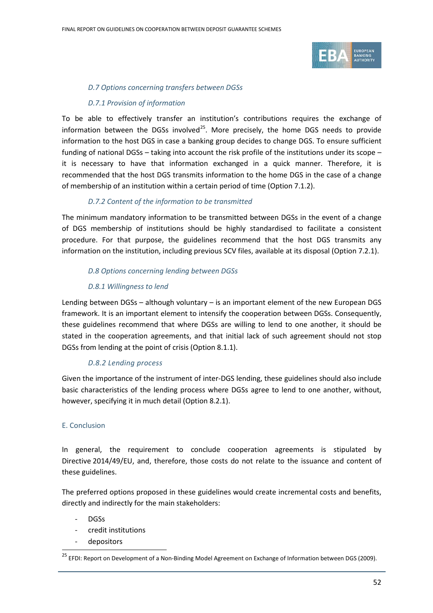

#### *D.7 Options concerning transfers between DGSs*

#### *D.7.1 Provision of information*

To be able to effectively transfer an institution's contributions requires the exchange of information between the DGSs involved<sup>[25](#page-51-0)</sup>. More precisely, the home DGS needs to provide information to the host DGS in case a banking group decides to change DGS. To ensure sufficient funding of national DGSs – taking into account the risk profile of the institutions under its scope – it is necessary to have that information exchanged in a quick manner. Therefore, it is recommended that the host DGS transmits information to the home DGS in the case of a change of membership of an institution within a certain period of time (Option 7.1.2).

#### *D.7.2 Content of the information to be transmitted*

The minimum mandatory information to be transmitted between DGSs in the event of a change of DGS membership of institutions should be highly standardised to facilitate a consistent procedure. For that purpose, the guidelines recommend that the host DGS transmits any information on the institution, including previous SCV files, available at its disposal (Option 7.2.1).

#### *D.8 Options concerning lending between DGSs*

#### *D.8.1 Willingness to lend*

Lending between DGSs – although voluntary – is an important element of the new European DGS framework. It is an important element to intensify the cooperation between DGSs. Consequently, these guidelines recommend that where DGSs are willing to lend to one another, it should be stated in the cooperation agreements, and that initial lack of such agreement should not stop DGSs from lending at the point of crisis (Option 8.1.1).

#### *D.8.2 Lending process*

Given the importance of the instrument of inter-DGS lending, these guidelines should also include basic characteristics of the lending process where DGSs agree to lend to one another, without, however, specifying it in much detail (Option 8.2.1).

#### E. Conclusion

In general, the requirement to conclude cooperation agreements is stipulated by Directive 2014/49/EU, and, therefore, those costs do not relate to the issuance and content of these guidelines.

The preferred options proposed in these guidelines would create incremental costs and benefits, directly and indirectly for the main stakeholders:

- DGSs
- credit institutions
- depositors

<span id="page-51-0"></span><sup>&</sup>lt;sup>25</sup> EFDI: Report on Development of a Non-Binding Model Agreement on Exchange of Information between DGS (2009).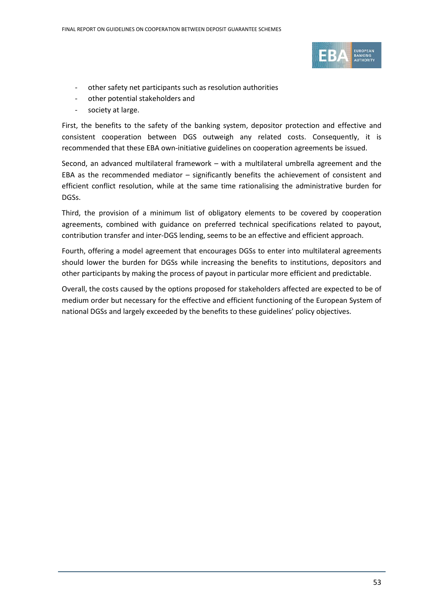

- other safety net participants such as resolution authorities
- other potential stakeholders and
- society at large.

First, the benefits to the safety of the banking system, depositor protection and effective and consistent cooperation between DGS outweigh any related costs. Consequently, it is recommended that these EBA own-initiative guidelines on cooperation agreements be issued.

Second, an advanced multilateral framework – with a multilateral umbrella agreement and the EBA as the recommended mediator – significantly benefits the achievement of consistent and efficient conflict resolution, while at the same time rationalising the administrative burden for DGSs.

Third, the provision of a minimum list of obligatory elements to be covered by cooperation agreements, combined with guidance on preferred technical specifications related to payout, contribution transfer and inter-DGS lending, seems to be an effective and efficient approach.

Fourth, offering a model agreement that encourages DGSs to enter into multilateral agreements should lower the burden for DGSs while increasing the benefits to institutions, depositors and other participants by making the process of payout in particular more efficient and predictable.

Overall, the costs caused by the options proposed for stakeholders affected are expected to be of medium order but necessary for the effective and efficient functioning of the European System of national DGSs and largely exceeded by the benefits to these guidelines' policy objectives.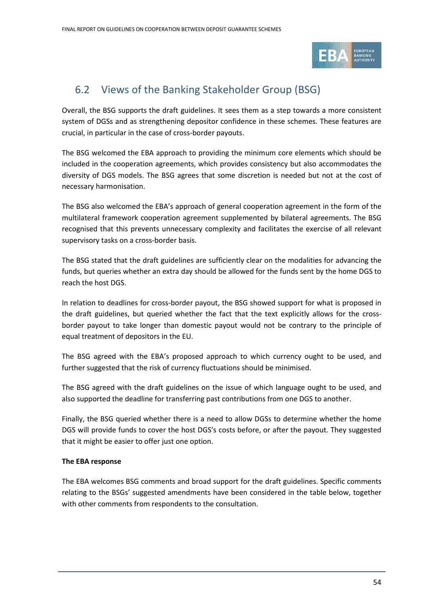

## 6.2 Views of the Banking Stakeholder Group (BSG)

Overall, the BSG supports the draft guidelines. It sees them as a step towards a more consistent system of DGSs and as strengthening depositor confidence in these schemes. These features are crucial, in particular in the case of cross-border payouts.

The BSG welcomed the EBA approach to providing the minimum core elements which should be included in the cooperation agreements, which provides consistency but also accommodates the diversity of DGS models. The BSG agrees that some discretion is needed but not at the cost of necessary harmonisation.

The BSG also welcomed the EBA's approach of general cooperation agreement in the form of the multilateral framework cooperation agreement supplemented by bilateral agreements. The BSG recognised that this prevents unnecessary complexity and facilitates the exercise of all relevant supervisory tasks on a cross-border basis.

The BSG stated that the draft guidelines are sufficiently clear on the modalities for advancing the funds, but queries whether an extra day should be allowed for the funds sent by the home DGS to reach the host DGS.

In relation to deadlines for cross-border payout, the BSG showed support for what is proposed in the draft guidelines, but queried whether the fact that the text explicitly allows for the crossborder payout to take longer than domestic payout would not be contrary to the principle of equal treatment of depositors in the EU.

The BSG agreed with the EBA's proposed approach to which currency ought to be used, and further suggested that the risk of currency fluctuations should be minimised.

The BSG agreed with the draft guidelines on the issue of which language ought to be used, and also supported the deadline for transferring past contributions from one DGS to another.

Finally, the BSG queried whether there is a need to allow DGSs to determine whether the home DGS will provide funds to cover the host DGS's costs before, or after the payout. They suggested that it might be easier to offer just one option.

#### **The EBA response**

The EBA welcomes BSG comments and broad support for the draft guidelines. Specific comments relating to the BSGs' suggested amendments have been considered in the table below, together with other comments from respondents to the consultation.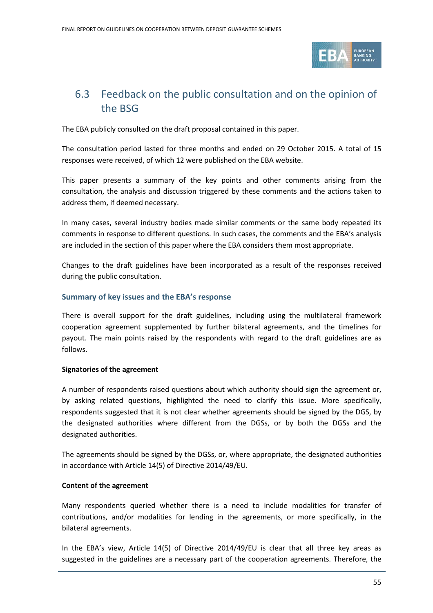

## 6.3 Feedback on the public consultation and on the opinion of the BSG

The EBA publicly consulted on the draft proposal contained in this paper.

The consultation period lasted for three months and ended on 29 October 2015. A total of 15 responses were received, of which 12 were published on the EBA website.

This paper presents a summary of the key points and other comments arising from the consultation, the analysis and discussion triggered by these comments and the actions taken to address them, if deemed necessary.

In many cases, several industry bodies made similar comments or the same body repeated its comments in response to different questions. In such cases, the comments and the EBA's analysis are included in the section of this paper where the EBA considers them most appropriate.

Changes to the draft guidelines have been incorporated as a result of the responses received during the public consultation.

#### **Summary of key issues and the EBA's response**

There is overall support for the draft guidelines, including using the multilateral framework cooperation agreement supplemented by further bilateral agreements, and the timelines for payout. The main points raised by the respondents with regard to the draft guidelines are as follows.

#### **Signatories of the agreement**

A number of respondents raised questions about which authority should sign the agreement or, by asking related questions, highlighted the need to clarify this issue. More specifically, respondents suggested that it is not clear whether agreements should be signed by the DGS, by the designated authorities where different from the DGSs, or by both the DGSs and the designated authorities.

The agreements should be signed by the DGSs, or, where appropriate, the designated authorities in accordance with Article 14(5) of Directive 2014/49/EU.

#### **Content of the agreement**

Many respondents queried whether there is a need to include modalities for transfer of contributions, and/or modalities for lending in the agreements, or more specifically, in the bilateral agreements.

In the EBA's view, Article 14(5) of Directive 2014/49/EU is clear that all three key areas as suggested in the guidelines are a necessary part of the cooperation agreements. Therefore, the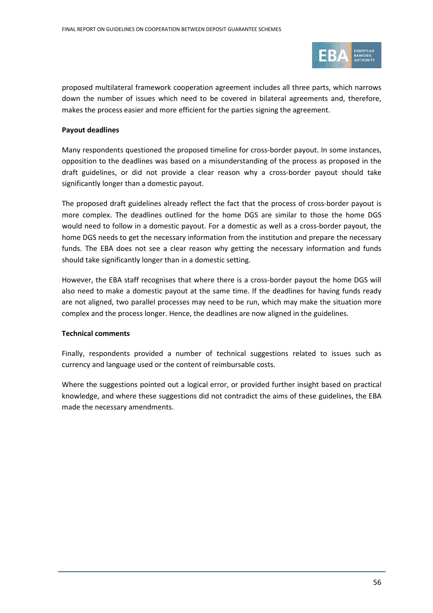

proposed multilateral framework cooperation agreement includes all three parts, which narrows down the number of issues which need to be covered in bilateral agreements and, therefore, makes the process easier and more efficient for the parties signing the agreement.

#### **Payout deadlines**

Many respondents questioned the proposed timeline for cross-border payout. In some instances, opposition to the deadlines was based on a misunderstanding of the process as proposed in the draft guidelines, or did not provide a clear reason why a cross-border payout should take significantly longer than a domestic payout.

The proposed draft guidelines already reflect the fact that the process of cross-border payout is more complex. The deadlines outlined for the home DGS are similar to those the home DGS would need to follow in a domestic payout. For a domestic as well as a cross-border payout, the home DGS needs to get the necessary information from the institution and prepare the necessary funds. The EBA does not see a clear reason why getting the necessary information and funds should take significantly longer than in a domestic setting.

However, the EBA staff recognises that where there is a cross-border payout the home DGS will also need to make a domestic payout at the same time. If the deadlines for having funds ready are not aligned, two parallel processes may need to be run, which may make the situation more complex and the process longer. Hence, the deadlines are now aligned in the guidelines.

#### **Technical comments**

Finally, respondents provided a number of technical suggestions related to issues such as currency and language used or the content of reimbursable costs.

Where the suggestions pointed out a logical error, or provided further insight based on practical knowledge, and where these suggestions did not contradict the aims of these guidelines, the EBA made the necessary amendments.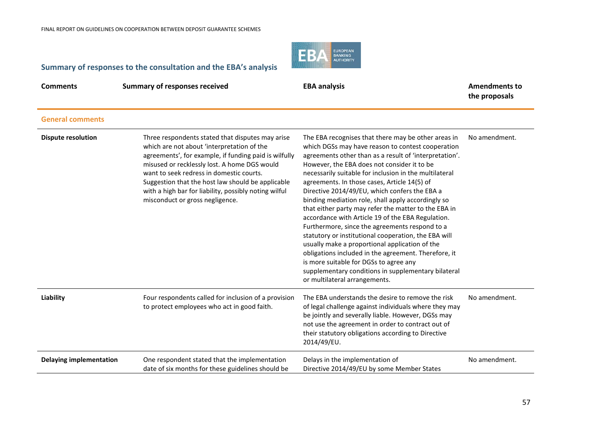

### **Summary of responses to the consultation and the EBA's analysis**

| <b>Comments</b>                | <b>Summary of responses received</b>                                                                                                                                                                                                                                                                                                                                                                 | <b>EBA analysis</b>                                                                                                                                                                                                                                                                                                                                                                                                                                                                                                                                                                                                                                                                                                                                                                                                                                                                                   | <b>Amendments to</b><br>the proposals |
|--------------------------------|------------------------------------------------------------------------------------------------------------------------------------------------------------------------------------------------------------------------------------------------------------------------------------------------------------------------------------------------------------------------------------------------------|-------------------------------------------------------------------------------------------------------------------------------------------------------------------------------------------------------------------------------------------------------------------------------------------------------------------------------------------------------------------------------------------------------------------------------------------------------------------------------------------------------------------------------------------------------------------------------------------------------------------------------------------------------------------------------------------------------------------------------------------------------------------------------------------------------------------------------------------------------------------------------------------------------|---------------------------------------|
| <b>General comments</b>        |                                                                                                                                                                                                                                                                                                                                                                                                      |                                                                                                                                                                                                                                                                                                                                                                                                                                                                                                                                                                                                                                                                                                                                                                                                                                                                                                       |                                       |
| <b>Dispute resolution</b>      | Three respondents stated that disputes may arise<br>which are not about 'interpretation of the<br>agreements', for example, if funding paid is wilfully<br>misused or recklessly lost. A home DGS would<br>want to seek redress in domestic courts.<br>Suggestion that the host law should be applicable<br>with a high bar for liability, possibly noting wilful<br>misconduct or gross negligence. | The EBA recognises that there may be other areas in<br>which DGSs may have reason to contest cooperation<br>agreements other than as a result of 'interpretation'.<br>However, the EBA does not consider it to be<br>necessarily suitable for inclusion in the multilateral<br>agreements. In those cases, Article 14(5) of<br>Directive 2014/49/EU, which confers the EBA a<br>binding mediation role, shall apply accordingly so<br>that either party may refer the matter to the EBA in<br>accordance with Article 19 of the EBA Regulation.<br>Furthermore, since the agreements respond to a<br>statutory or institutional cooperation, the EBA will<br>usually make a proportional application of the<br>obligations included in the agreement. Therefore, it<br>is more suitable for DGSs to agree any<br>supplementary conditions in supplementary bilateral<br>or multilateral arrangements. | No amendment.                         |
| Liability                      | Four respondents called for inclusion of a provision<br>to protect employees who act in good faith.                                                                                                                                                                                                                                                                                                  | The EBA understands the desire to remove the risk<br>of legal challenge against individuals where they may<br>be jointly and severally liable. However, DGSs may<br>not use the agreement in order to contract out of<br>their statutory obligations according to Directive<br>2014/49/EU.                                                                                                                                                                                                                                                                                                                                                                                                                                                                                                                                                                                                            | No amendment.                         |
| <b>Delaying implementation</b> | One respondent stated that the implementation<br>date of six months for these guidelines should be                                                                                                                                                                                                                                                                                                   | Delays in the implementation of<br>Directive 2014/49/EU by some Member States                                                                                                                                                                                                                                                                                                                                                                                                                                                                                                                                                                                                                                                                                                                                                                                                                         | No amendment.                         |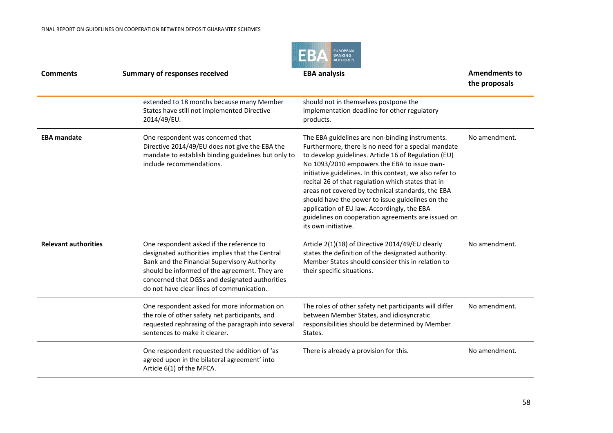

| <b>Comments</b>             | <b>Summary of responses received</b>                                                                                                                                                                                                                                                        | <b>EBA analysis</b>                                                                                                                                                                                                                                                                                                                                                                                                                                                                                                                                                  | <b>Amendments to</b><br>the proposals |
|-----------------------------|---------------------------------------------------------------------------------------------------------------------------------------------------------------------------------------------------------------------------------------------------------------------------------------------|----------------------------------------------------------------------------------------------------------------------------------------------------------------------------------------------------------------------------------------------------------------------------------------------------------------------------------------------------------------------------------------------------------------------------------------------------------------------------------------------------------------------------------------------------------------------|---------------------------------------|
|                             | extended to 18 months because many Member<br>States have still not implemented Directive<br>2014/49/EU.                                                                                                                                                                                     | should not in themselves postpone the<br>implementation deadline for other regulatory<br>products.                                                                                                                                                                                                                                                                                                                                                                                                                                                                   |                                       |
| <b>EBA mandate</b>          | One respondent was concerned that<br>Directive 2014/49/EU does not give the EBA the<br>mandate to establish binding guidelines but only to<br>include recommendations.                                                                                                                      | The EBA guidelines are non-binding instruments.<br>Furthermore, there is no need for a special mandate<br>to develop guidelines. Article 16 of Regulation (EU)<br>No 1093/2010 empowers the EBA to issue own-<br>initiative guidelines. In this context, we also refer to<br>recital 26 of that regulation which states that in<br>areas not covered by technical standards, the EBA<br>should have the power to issue guidelines on the<br>application of EU law. Accordingly, the EBA<br>guidelines on cooperation agreements are issued on<br>its own initiative. | No amendment.                         |
| <b>Relevant authorities</b> | One respondent asked if the reference to<br>designated authorities implies that the Central<br>Bank and the Financial Supervisory Authority<br>should be informed of the agreement. They are<br>concerned that DGSs and designated authorities<br>do not have clear lines of communication. | Article 2(1)(18) of Directive 2014/49/EU clearly<br>states the definition of the designated authority.<br>Member States should consider this in relation to<br>their specific situations.                                                                                                                                                                                                                                                                                                                                                                            | No amendment.                         |
|                             | One respondent asked for more information on<br>the role of other safety net participants, and<br>requested rephrasing of the paragraph into several<br>sentences to make it clearer.                                                                                                       | The roles of other safety net participants will differ<br>between Member States, and idiosyncratic<br>responsibilities should be determined by Member<br>States.                                                                                                                                                                                                                                                                                                                                                                                                     | No amendment.                         |
|                             | One respondent requested the addition of 'as<br>agreed upon in the bilateral agreement' into<br>Article 6(1) of the MFCA.                                                                                                                                                                   | There is already a provision for this.                                                                                                                                                                                                                                                                                                                                                                                                                                                                                                                               | No amendment.                         |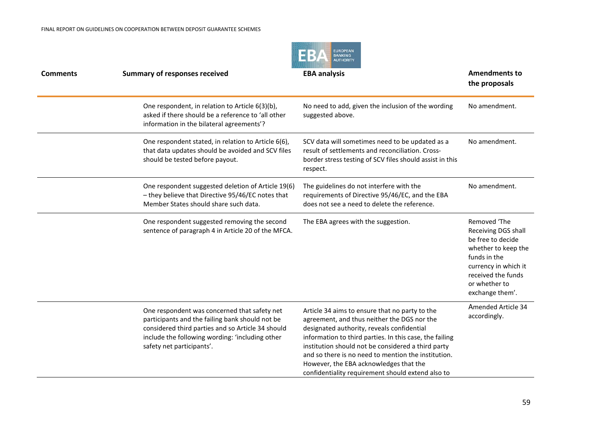

| <b>Comments</b> | <b>Summary of responses received</b>                                                                                                                                                                                                 | <b>EBA analysis</b>                                                                                                                                                                                                                                                                                                                                                                                                | <b>Amendments to</b><br>the proposals                                                                                                                                             |
|-----------------|--------------------------------------------------------------------------------------------------------------------------------------------------------------------------------------------------------------------------------------|--------------------------------------------------------------------------------------------------------------------------------------------------------------------------------------------------------------------------------------------------------------------------------------------------------------------------------------------------------------------------------------------------------------------|-----------------------------------------------------------------------------------------------------------------------------------------------------------------------------------|
|                 | One respondent, in relation to Article 6(3)(b),<br>asked if there should be a reference to 'all other<br>information in the bilateral agreements'?                                                                                   | No need to add, given the inclusion of the wording<br>suggested above.                                                                                                                                                                                                                                                                                                                                             | No amendment.                                                                                                                                                                     |
|                 | One respondent stated, in relation to Article 6(6),<br>that data updates should be avoided and SCV files<br>should be tested before payout.                                                                                          | SCV data will sometimes need to be updated as a<br>result of settlements and reconciliation. Cross-<br>border stress testing of SCV files should assist in this<br>respect.                                                                                                                                                                                                                                        | No amendment.                                                                                                                                                                     |
|                 | One respondent suggested deletion of Article 19(6)<br>- they believe that Directive 95/46/EC notes that<br>Member States should share such data.                                                                                     | The guidelines do not interfere with the<br>requirements of Directive 95/46/EC, and the EBA<br>does not see a need to delete the reference.                                                                                                                                                                                                                                                                        | No amendment.                                                                                                                                                                     |
|                 | One respondent suggested removing the second<br>sentence of paragraph 4 in Article 20 of the MFCA.                                                                                                                                   | The EBA agrees with the suggestion.                                                                                                                                                                                                                                                                                                                                                                                | Removed 'The<br>Receiving DGS shall<br>be free to decide<br>whether to keep the<br>funds in the<br>currency in which it<br>received the funds<br>or whether to<br>exchange them'. |
|                 | One respondent was concerned that safety net<br>participants and the failing bank should not be<br>considered third parties and so Article 34 should<br>include the following wording: 'including other<br>safety net participants'. | Article 34 aims to ensure that no party to the<br>agreement, and thus neither the DGS nor the<br>designated authority, reveals confidential<br>information to third parties. In this case, the failing<br>institution should not be considered a third party<br>and so there is no need to mention the institution.<br>However, the EBA acknowledges that the<br>confidentiality requirement should extend also to | Amended Article 34<br>accordingly.                                                                                                                                                |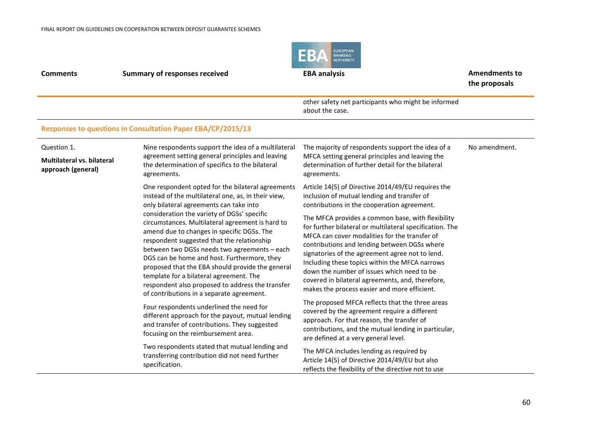

**Comments Summary of responses received EBA analysis EBA analysis Amendments to Amendments to** 

**the proposals**

other safety net participants who might be informed about the case.

#### **Responses to questions in Consultation Paper EBA/CP/2015/13**

Question 1.

#### **Multilateral vs. bilateral approach (general)**

Nine respondents support the idea of a multilateral agreement setting general principles and leaving the determination of specifics to the bilateral agreements.

One respondent opted for the bilateral agreements instead of the multilateral one, as, in their view, only bilateral agreements can take into consideration the variety of DGSs' specific circumstances. Multilateral agreement is hard to amend due to changes in specific DGSs. The respondent suggested that the relationship between two DGSs needs two agreements – each DGS can be home and host. Furthermore, they proposed that the EBA should provide the general template for a bilateral agreement. The respondent also proposed to address the transfer of contributions in a separate agreement.

Four respondents underlined the need for different approach for the payout, mutual lending and transfer of contributions. They suggested focusing on the reimbursement area.

Two respondents stated that mutual lending and transferring contribution did not need further specification.

The majority of respondents support the idea of a MFCA setting general principles and leaving the determination of further detail for the bilateral agreements.

Article 14(5) of Directive 2014/49/EU requires the inclusion of mutual lending and transfer of contributions in the cooperation agreement.

The MFCA provides a common base, with flexibility for further bilateral or multilateral specification. The MFCA can cover modalities for the transfer of contributions and lending between DGSs where signatories of the agreement agree not to lend. Including these topics within the MFCA narrows down the number of issues which need to be covered in bilateral agreements, and, therefore, makes the process easier and more efficient.

The proposed MFCA reflects that the three areas covered by the agreement require a different approach. For that reason, the transfer of contributions, and the mutual lending in particular, are defined at a very general level.

The MFCA includes lending as required by Article 14(5) of Directive 2014/49/EU but also reflects the flexibility of the directive not to use No amendment.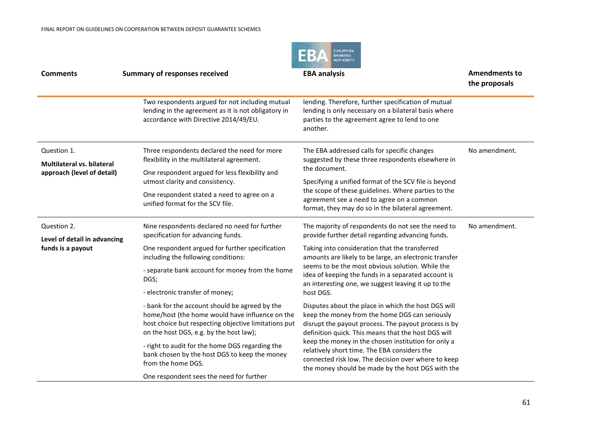

| <b>Comments</b>                                                                | <b>Summary of responses received</b>                                                                                                                                                                 | <b>EBA analysis</b>                                                                                                                                                                                                                                                        | <b>Amendments to</b><br>the proposals |
|--------------------------------------------------------------------------------|------------------------------------------------------------------------------------------------------------------------------------------------------------------------------------------------------|----------------------------------------------------------------------------------------------------------------------------------------------------------------------------------------------------------------------------------------------------------------------------|---------------------------------------|
|                                                                                | Two respondents argued for not including mutual<br>lending in the agreement as it is not obligatory in<br>accordance with Directive 2014/49/EU.                                                      | lending. Therefore, further specification of mutual<br>lending is only necessary on a bilateral basis where<br>parties to the agreement agree to lend to one<br>another.                                                                                                   |                                       |
| Question 1.<br><b>Multilateral vs. bilateral</b><br>approach (level of detail) | Three respondents declared the need for more<br>flexibility in the multilateral agreement.<br>One respondent argued for less flexibility and                                                         | The EBA addressed calls for specific changes<br>suggested by these three respondents elsewhere in<br>the document.                                                                                                                                                         | No amendment.                         |
|                                                                                | utmost clarity and consistency.                                                                                                                                                                      | Specifying a unified format of the SCV file is beyond                                                                                                                                                                                                                      |                                       |
|                                                                                | One respondent stated a need to agree on a<br>unified format for the SCV file.                                                                                                                       | the scope of these guidelines. Where parties to the<br>agreement see a need to agree on a common<br>format, they may do so in the bilateral agreement.                                                                                                                     |                                       |
| Question 2.                                                                    | Nine respondents declared no need for further                                                                                                                                                        | The majority of respondents do not see the need to                                                                                                                                                                                                                         | No amendment.                         |
| Level of detail in advancing                                                   | specification for advancing funds.                                                                                                                                                                   | provide further detail regarding advancing funds.                                                                                                                                                                                                                          |                                       |
| funds is a payout                                                              | One respondent argued for further specification<br>including the following conditions:                                                                                                               | Taking into consideration that the transferred<br>amounts are likely to be large, an electronic transfer<br>seems to be the most obvious solution. While the<br>idea of keeping the funds in a separated account is<br>an interesting one, we suggest leaving it up to the |                                       |
|                                                                                | - separate bank account for money from the home<br>DGS;                                                                                                                                              |                                                                                                                                                                                                                                                                            |                                       |
|                                                                                | - electronic transfer of money;                                                                                                                                                                      | host DGS.                                                                                                                                                                                                                                                                  |                                       |
|                                                                                | - bank for the account should be agreed by the<br>home/host (the home would have influence on the<br>host choice but respecting objective limitations put<br>on the host DGS, e.g. by the host law); | Disputes about the place in which the host DGS will<br>keep the money from the home DGS can seriously<br>disrupt the payout process. The payout process is by<br>definition quick. This means that the host DGS will                                                       |                                       |
|                                                                                | - right to audit for the home DGS regarding the<br>bank chosen by the host DGS to keep the money<br>from the home DGS.                                                                               | keep the money in the chosen institution for only a<br>relatively short time. The EBA considers the<br>connected risk low. The decision over where to keep<br>the money should be made by the host DGS with the                                                            |                                       |
|                                                                                | One respondent sees the need for further                                                                                                                                                             |                                                                                                                                                                                                                                                                            |                                       |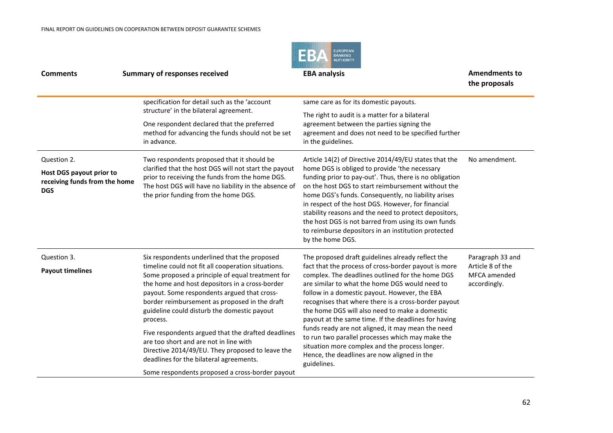

| <b>Comments</b>                                                                        | <b>Summary of responses received</b>                                                                                                                                                                                                                                                                                                                                                                                                                                                                                                                                                                                  | <b>EBA analysis</b>                                                                                                                                                                                                                                                                                                                                                                                                                                                                                                                                                                                                                                         | <b>Amendments to</b><br>the proposals                                |
|----------------------------------------------------------------------------------------|-----------------------------------------------------------------------------------------------------------------------------------------------------------------------------------------------------------------------------------------------------------------------------------------------------------------------------------------------------------------------------------------------------------------------------------------------------------------------------------------------------------------------------------------------------------------------------------------------------------------------|-------------------------------------------------------------------------------------------------------------------------------------------------------------------------------------------------------------------------------------------------------------------------------------------------------------------------------------------------------------------------------------------------------------------------------------------------------------------------------------------------------------------------------------------------------------------------------------------------------------------------------------------------------------|----------------------------------------------------------------------|
|                                                                                        | specification for detail such as the 'account<br>structure' in the bilateral agreement.                                                                                                                                                                                                                                                                                                                                                                                                                                                                                                                               | same care as for its domestic payouts.                                                                                                                                                                                                                                                                                                                                                                                                                                                                                                                                                                                                                      |                                                                      |
|                                                                                        | One respondent declared that the preferred<br>method for advancing the funds should not be set<br>in advance.                                                                                                                                                                                                                                                                                                                                                                                                                                                                                                         | The right to audit is a matter for a bilateral<br>agreement between the parties signing the<br>agreement and does not need to be specified further<br>in the guidelines.                                                                                                                                                                                                                                                                                                                                                                                                                                                                                    |                                                                      |
| Question 2.<br>Host DGS payout prior to<br>receiving funds from the home<br><b>DGS</b> | Two respondents proposed that it should be<br>clarified that the host DGS will not start the payout<br>prior to receiving the funds from the home DGS.<br>The host DGS will have no liability in the absence of<br>the prior funding from the home DGS.                                                                                                                                                                                                                                                                                                                                                               | Article 14(2) of Directive 2014/49/EU states that the<br>home DGS is obliged to provide 'the necessary<br>funding prior to pay-out'. Thus, there is no obligation<br>on the host DGS to start reimbursement without the<br>home DGS's funds. Consequently, no liability arises<br>in respect of the host DGS. However, for financial<br>stability reasons and the need to protect depositors,<br>the host DGS is not barred from using its own funds<br>to reimburse depositors in an institution protected<br>by the home DGS.                                                                                                                             | No amendment.                                                        |
| Question 3.<br><b>Payout timelines</b>                                                 | Six respondents underlined that the proposed<br>timeline could not fit all cooperation situations.<br>Some proposed a principle of equal treatment for<br>the home and host depositors in a cross-border<br>payout. Some respondents argued that cross-<br>border reimbursement as proposed in the draft<br>guideline could disturb the domestic payout<br>process.<br>Five respondents argued that the drafted deadlines<br>are too short and are not in line with<br>Directive 2014/49/EU. They proposed to leave the<br>deadlines for the bilateral agreements.<br>Some respondents proposed a cross-border payout | The proposed draft guidelines already reflect the<br>fact that the process of cross-border payout is more<br>complex. The deadlines outlined for the home DGS<br>are similar to what the home DGS would need to<br>follow in a domestic payout. However, the EBA<br>recognises that where there is a cross-border payout<br>the home DGS will also need to make a domestic<br>payout at the same time. If the deadlines for having<br>funds ready are not aligned, it may mean the need<br>to run two parallel processes which may make the<br>situation more complex and the process longer.<br>Hence, the deadlines are now aligned in the<br>guidelines. | Paragraph 33 and<br>Article 8 of the<br>MFCA amended<br>accordingly. |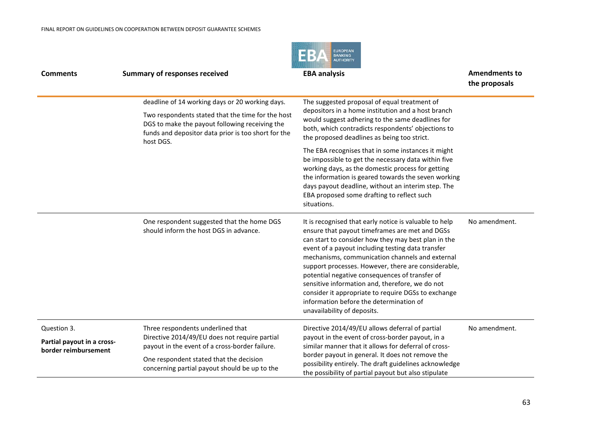

possibility entirely. The draft guidelines acknowledge the possibility of partial payout but also stipulate

| <b>Comments</b>            | <b>Summary of responses received</b>                                                                                                                                    | <b>EBA analysis</b>                                                                                                                                                                                                                                                                                                                                                                                                                                                                                                                                                  | <b>Amendments to</b><br>the proposals |
|----------------------------|-------------------------------------------------------------------------------------------------------------------------------------------------------------------------|----------------------------------------------------------------------------------------------------------------------------------------------------------------------------------------------------------------------------------------------------------------------------------------------------------------------------------------------------------------------------------------------------------------------------------------------------------------------------------------------------------------------------------------------------------------------|---------------------------------------|
|                            | deadline of 14 working days or 20 working days.                                                                                                                         | The suggested proposal of equal treatment of                                                                                                                                                                                                                                                                                                                                                                                                                                                                                                                         |                                       |
|                            | Two respondents stated that the time for the host<br>DGS to make the payout following receiving the<br>funds and depositor data prior is too short for the<br>host DGS. | depositors in a home institution and a host branch<br>would suggest adhering to the same deadlines for<br>both, which contradicts respondents' objections to<br>the proposed deadlines as being too strict.                                                                                                                                                                                                                                                                                                                                                          |                                       |
|                            |                                                                                                                                                                         | The EBA recognises that in some instances it might<br>be impossible to get the necessary data within five<br>working days, as the domestic process for getting<br>the information is geared towards the seven working<br>days payout deadline, without an interim step. The<br>EBA proposed some drafting to reflect such<br>situations.                                                                                                                                                                                                                             |                                       |
|                            | One respondent suggested that the home DGS<br>should inform the host DGS in advance.                                                                                    | It is recognised that early notice is valuable to help<br>ensure that payout timeframes are met and DGSs<br>can start to consider how they may best plan in the<br>event of a payout including testing data transfer<br>mechanisms, communication channels and external<br>support processes. However, there are considerable,<br>potential negative consequences of transfer of<br>sensitive information and, therefore, we do not<br>consider it appropriate to require DGSs to exchange<br>information before the determination of<br>unavailability of deposits. | No amendment.                         |
| Question 3.                | Three respondents underlined that                                                                                                                                       | Directive 2014/49/EU allows deferral of partial                                                                                                                                                                                                                                                                                                                                                                                                                                                                                                                      | No amendment.                         |
| Partial payout in a cross- | Directive 2014/49/EU does not require partial<br>payout in the event of a cross-border failure.                                                                         | payout in the event of cross-border payout, in a<br>similar manner that it allows for deferral of cross-                                                                                                                                                                                                                                                                                                                                                                                                                                                             |                                       |
| border reimbursement       | One respondent stated that the decision                                                                                                                                 | border payout in general. It does not remove the<br>المسافر والمساوي والمستور والمساوي والمساوية والمساوي المساوية والمساوية والمساوية والمساوية والمساوية                                                                                                                                                                                                                                                                                                                                                                                                           |                                       |

concerning partial payout should be up to the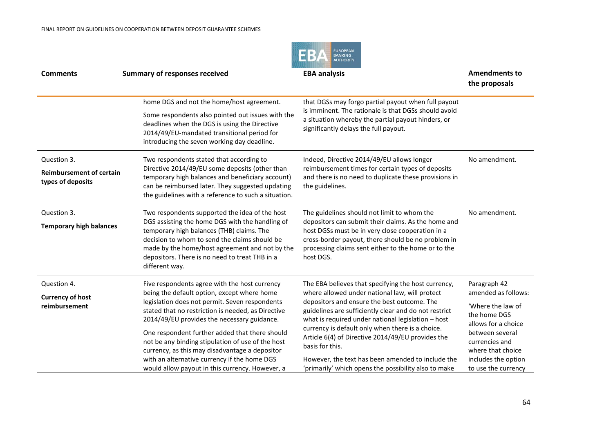

| <b>Comments</b>                                      | <b>Summary of responses received</b>                                                                                                                                                                                                                                | <b>EBA analysis</b>                                                                                                                                                                                                               | <b>Amendments to</b><br>the proposals                    |
|------------------------------------------------------|---------------------------------------------------------------------------------------------------------------------------------------------------------------------------------------------------------------------------------------------------------------------|-----------------------------------------------------------------------------------------------------------------------------------------------------------------------------------------------------------------------------------|----------------------------------------------------------|
|                                                      | home DGS and not the home/host agreement.                                                                                                                                                                                                                           | that DGSs may forgo partial payout when full payout                                                                                                                                                                               |                                                          |
|                                                      | Some respondents also pointed out issues with the<br>deadlines when the DGS is using the Directive<br>2014/49/EU-mandated transitional period for<br>introducing the seven working day deadline.                                                                    | is imminent. The rationale is that DGSs should avoid<br>a situation whereby the partial payout hinders, or<br>significantly delays the full payout.                                                                               |                                                          |
| Question 3.                                          | Two respondents stated that according to                                                                                                                                                                                                                            | Indeed, Directive 2014/49/EU allows longer                                                                                                                                                                                        | No amendment.                                            |
| <b>Reimbursement of certain</b><br>types of deposits | Directive 2014/49/EU some deposits (other than<br>temporary high balances and beneficiary account)<br>can be reimbursed later. They suggested updating<br>the guidelines with a reference to such a situation.                                                      | reimbursement times for certain types of deposits<br>and there is no need to duplicate these provisions in<br>the guidelines.                                                                                                     |                                                          |
| Question 3.                                          | Two respondents supported the idea of the host                                                                                                                                                                                                                      | The guidelines should not limit to whom the                                                                                                                                                                                       | No amendment.                                            |
| <b>Temporary high balances</b>                       | DGS assisting the home DGS with the handling of<br>temporary high balances (THB) claims. The<br>decision to whom to send the claims should be<br>made by the home/host agreement and not by the<br>depositors. There is no need to treat THB in a<br>different way. | depositors can submit their claims. As the home and<br>host DGSs must be in very close cooperation in a<br>cross-border payout, there should be no problem in<br>processing claims sent either to the home or to the<br>host DGS. |                                                          |
| Question 4.                                          | Five respondents agree with the host currency                                                                                                                                                                                                                       | The EBA believes that specifying the host currency,                                                                                                                                                                               | Paragraph 42                                             |
| <b>Currency of host</b>                              | being the default option, except where home                                                                                                                                                                                                                         | where allowed under national law, will protect                                                                                                                                                                                    | amended as follows:                                      |
| reimbursement                                        | legislation does not permit. Seven respondents<br>stated that no restriction is needed, as Directive<br>2014/49/EU provides the necessary guidance.                                                                                                                 | depositors and ensure the best outcome. The<br>guidelines are sufficiently clear and do not restrict<br>what is required under national legislation - host                                                                        | 'Where the law of<br>the home DGS<br>allows for a choice |
|                                                      | One respondent further added that there should<br>not be any binding stipulation of use of the host<br>currency, as this may disadvantage a depositor                                                                                                               | currency is default only when there is a choice.<br>Article 6(4) of Directive 2014/49/EU provides the<br>basis for this.                                                                                                          | between several<br>currencies and<br>where that choice   |
|                                                      | with an alternative currency if the home DGS                                                                                                                                                                                                                        | However, the text has been amended to include the                                                                                                                                                                                 | includes the option                                      |
|                                                      | would allow payout in this currency. However, a                                                                                                                                                                                                                     | 'primarily' which opens the possibility also to make                                                                                                                                                                              | to use the currency                                      |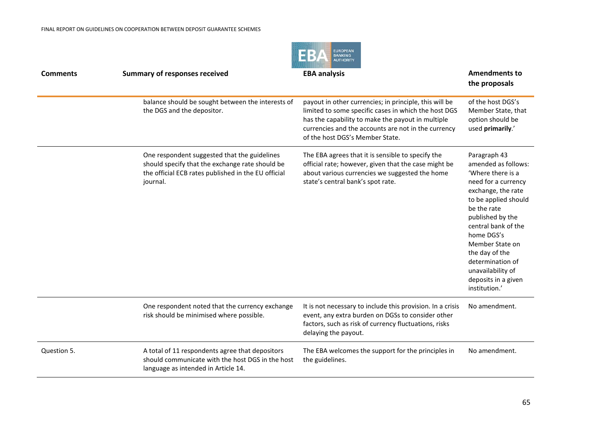

| <b>Comments</b> | <b>Summary of responses received</b>                                                                                                                               | <b>EBA analysis</b>                                                                                                                                                                                                                                           | <b>Amendments to</b><br>the proposals                                                                                                                                                                                                                                                                                       |
|-----------------|--------------------------------------------------------------------------------------------------------------------------------------------------------------------|---------------------------------------------------------------------------------------------------------------------------------------------------------------------------------------------------------------------------------------------------------------|-----------------------------------------------------------------------------------------------------------------------------------------------------------------------------------------------------------------------------------------------------------------------------------------------------------------------------|
|                 | balance should be sought between the interests of<br>the DGS and the depositor.                                                                                    | payout in other currencies; in principle, this will be<br>limited to some specific cases in which the host DGS<br>has the capability to make the payout in multiple<br>currencies and the accounts are not in the currency<br>of the host DGS's Member State. | of the host DGS's<br>Member State, that<br>option should be<br>used primarily.'                                                                                                                                                                                                                                             |
|                 | One respondent suggested that the guidelines<br>should specify that the exchange rate should be<br>the official ECB rates published in the EU official<br>journal. | The EBA agrees that it is sensible to specify the<br>official rate; however, given that the case might be<br>about various currencies we suggested the home<br>state's central bank's spot rate.                                                              | Paragraph 43<br>amended as follows:<br>'Where there is a<br>need for a currency<br>exchange, the rate<br>to be applied should<br>be the rate<br>published by the<br>central bank of the<br>home DGS's<br>Member State on<br>the day of the<br>determination of<br>unavailability of<br>deposits in a given<br>institution.' |
|                 | One respondent noted that the currency exchange<br>risk should be minimised where possible.                                                                        | It is not necessary to include this provision. In a crisis<br>event, any extra burden on DGSs to consider other<br>factors, such as risk of currency fluctuations, risks<br>delaying the payout.                                                              | No amendment.                                                                                                                                                                                                                                                                                                               |
| Question 5.     | A total of 11 respondents agree that depositors<br>should communicate with the host DGS in the host<br>language as intended in Article 14.                         | The EBA welcomes the support for the principles in<br>the guidelines.                                                                                                                                                                                         | No amendment.                                                                                                                                                                                                                                                                                                               |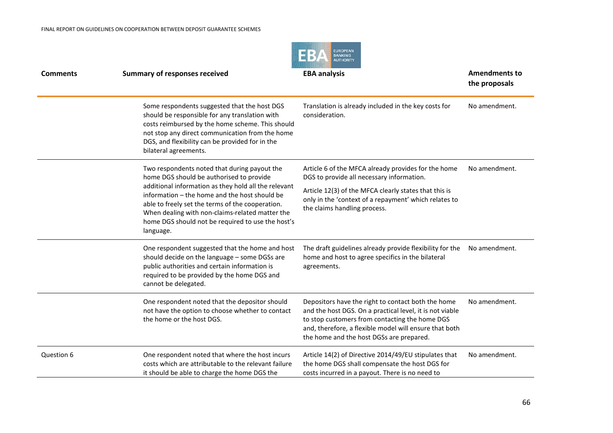

**Comments Summary of responses received EBA analysis EBA analysis Amendments to Amendments to the proposals** Some respondents suggested that the host DGS should be responsible for any translation with costs reimbursed by the home scheme. This should not stop any direct communication from the home DGS, and flexibility can be provided for in the bilateral agreements. Translation is already included in the key costs for consideration. No amendment. Two respondents noted that during payout the home DGS should be authorised to provide additional information as they hold all the relevant information – the home and the host should be able to freely set the terms of the cooperation. When dealing with non-claims-related matter the home DGS should not be required to use the host's language. Article 6 of the MFCA already provides for the home DGS to provide all necessary information. Article 12(3) of the MFCA clearly states that this is only in the 'context of a repayment' which relates to the claims handling process. No amendment. One respondent suggested that the home and host should decide on the language – some DGSs are public authorities and certain information is required to be provided by the home DGS and cannot be delegated. The draft guidelines already provide flexibility for the No amendment. home and host to agree specifics in the bilateral agreements. One respondent noted that the depositor should not have the option to choose whether to contact the home or the host DGS. Depositors have the right to contact both the home and the host DGS. On a practical level, it is not viable to stop customers from contacting the home DGS and, therefore, a flexible model will ensure that both the home and the host DGSs are prepared. No amendment. Question 6 One respondent noted that where the host incurs costs which are attributable to the relevant failure it should be able to charge the home DGS the Article 14(2) of Directive 2014/49/EU stipulates that the home DGS shall compensate the host DGS for costs incurred in a payout. There is no need to No amendment.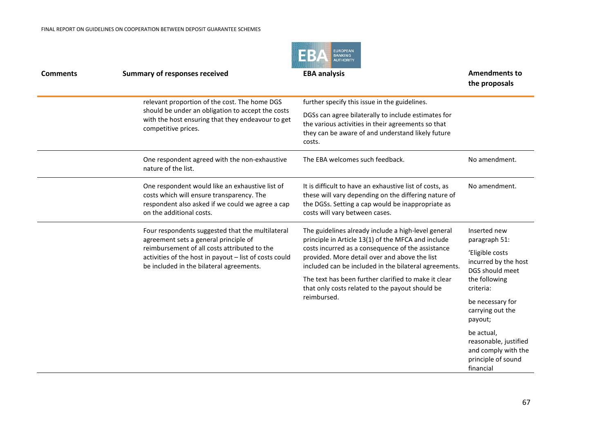

| <b>Comments</b> | <b>Summary of responses received</b>                                                                                                                                         | <b>EBA analysis</b>                                                                                                                                                                                    | <b>Amendments to</b><br>the proposals                                                         |
|-----------------|------------------------------------------------------------------------------------------------------------------------------------------------------------------------------|--------------------------------------------------------------------------------------------------------------------------------------------------------------------------------------------------------|-----------------------------------------------------------------------------------------------|
|                 | relevant proportion of the cost. The home DGS                                                                                                                                | further specify this issue in the guidelines.                                                                                                                                                          |                                                                                               |
|                 | should be under an obligation to accept the costs<br>with the host ensuring that they endeavour to get<br>competitive prices.                                                | DGSs can agree bilaterally to include estimates for<br>the various activities in their agreements so that<br>they can be aware of and understand likely future<br>costs.                               |                                                                                               |
|                 | One respondent agreed with the non-exhaustive<br>nature of the list.                                                                                                         | The EBA welcomes such feedback.                                                                                                                                                                        | No amendment.                                                                                 |
|                 | One respondent would like an exhaustive list of<br>costs which will ensure transparency. The<br>respondent also asked if we could we agree a cap<br>on the additional costs. | It is difficult to have an exhaustive list of costs, as<br>these will vary depending on the differing nature of<br>the DGSs. Setting a cap would be inappropriate as<br>costs will vary between cases. | No amendment.                                                                                 |
|                 | Four respondents suggested that the multilateral<br>agreement sets a general principle of                                                                                    | The guidelines already include a high-level general<br>principle in Article 13(1) of the MFCA and include                                                                                              | Inserted new<br>paragraph 51:                                                                 |
|                 | reimbursement of all costs attributed to the<br>activities of the host in payout - list of costs could<br>be included in the bilateral agreements.                           | costs incurred as a consequence of the assistance<br>provided. More detail over and above the list<br>included can be included in the bilateral agreements.                                            | 'Eligible costs<br>incurred by the host<br>DGS should meet<br>the following<br>criteria:      |
|                 |                                                                                                                                                                              | The text has been further clarified to make it clear<br>that only costs related to the payout should be                                                                                                |                                                                                               |
|                 |                                                                                                                                                                              | reimbursed.                                                                                                                                                                                            | be necessary for<br>carrying out the<br>payout;                                               |
|                 |                                                                                                                                                                              |                                                                                                                                                                                                        | be actual,<br>reasonable, justified<br>and comply with the<br>principle of sound<br>financial |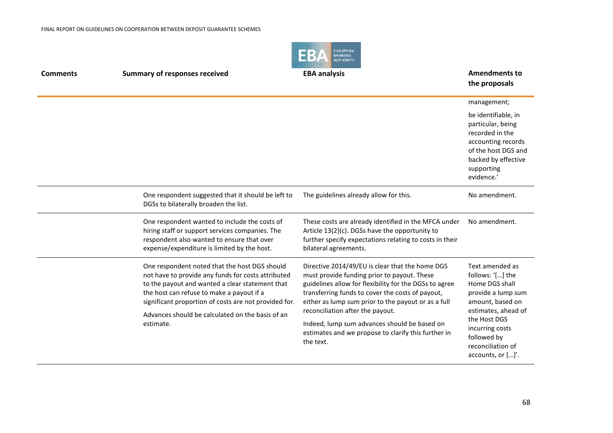

#### **Comments Summary of responses received EBA analysis EBA analysis Amendments to Amendments to the proposals** management; be identifiable, in particular, being recorded in the accounting records of the host DGS and backed by effective supporting evidence.' One respondent suggested that it should be left to DGSs to bilaterally broaden the list. The guidelines already allow for this. No amendment. One respondent wanted to include the costs of hiring staff or support services companies. The respondent also wanted to ensure that over expense/expenditure is limited by the host. These costs are already identified in the MFCA under No amendment. Article 13(2)(c). DGSs have the opportunity to further specify expectations relating to costs in their bilateral agreements. One respondent noted that the host DGS should not have to provide any funds for costs attributed to the payout and wanted a clear statement that the host can refuse to make a payout if a significant proportion of costs are not provided for. Advances should be calculated on the basis of an estimate. Directive 2014/49/EU is clear that the home DGS must provide funding prior to payout. These guidelines allow for flexibility for the DGSs to agree transferring funds to cover the costs of payout, either as lump sum prior to the payout or as a full reconciliation after the payout. Indeed, lump sum advances should be based on estimates and we propose to clarify this further in the text. Text amended as follows: '[…] the Home DGS shall provide a lump sum amount, based on estimates, ahead of the Host DGS incurring costs followed by reconciliation of accounts, or […]'.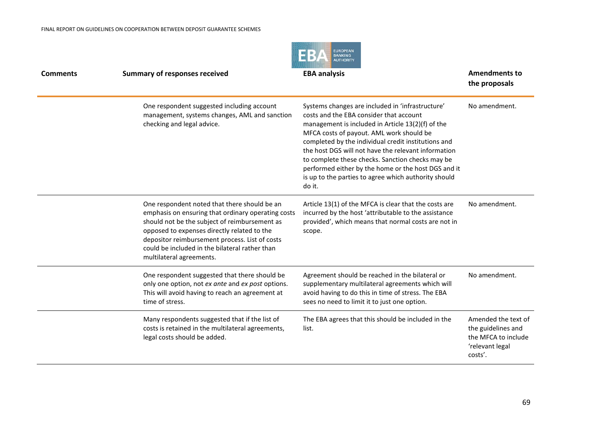

**Comments Summary of responses received EBA analysis EBA analysis Amendments to Amendments to the proposals** One respondent suggested including account management, systems changes, AML and sanction checking and legal advice. Systems changes are included in 'infrastructure' costs and the EBA consider that account management is included in Article 13(2)(f) of the MFCA costs of payout. AML work should be completed by the individual credit institutions and the host DGS will not have the relevant information to complete these checks. Sanction checks may be performed either by the home or the host DGS and it is up to the parties to agree which authority should do it. No amendment. One respondent noted that there should be an emphasis on ensuring that ordinary operating costs should not be the subject of reimbursement as opposed to expenses directly related to the depositor reimbursement process. List of costs could be included in the bilateral rather than multilateral agreements. Article 13(1) of the MFCA is clear that the costs are incurred by the host 'attributable to the assistance provided', which means that normal costs are not in scope. No amendment. One respondent suggested that there should be only one option, not *ex ante* and *ex post* options. This will avoid having to reach an agreement at time of stress. Agreement should be reached in the bilateral or supplementary multilateral agreements which will avoid having to do this in time of stress. The EBA sees no need to limit it to just one option. No amendment. Many respondents suggested that if the list of costs is retained in the multilateral agreements, legal costs should be added. The EBA agrees that this should be included in the list. Amended the text of the guidelines and the MFCA to include 'relevant legal costs'.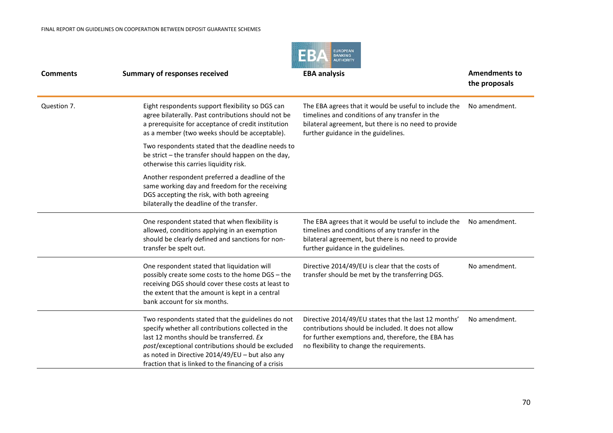

**Comments Summary of responses received EBA analysis EBA analysis Amendments to the proposals** The EBA agrees that it would be useful to include the timelines and conditions of any transfer in the bilateral agreement, but there is no need to provide further guidance in the guidelines.

| Question 7. | Eight respondents support flexibility so DGS can<br>agree bilaterally. Past contributions should not be<br>a prerequisite for acceptance of credit institution<br>as a member (two weeks should be acceptable).                                                                                                     | The EBA agrees that it would be useful to include the<br>timelines and conditions of any transfer in the<br>bilateral agreement, but there is no need to provide<br>further guidance in the guidelines.         | No amendment. |
|-------------|---------------------------------------------------------------------------------------------------------------------------------------------------------------------------------------------------------------------------------------------------------------------------------------------------------------------|-----------------------------------------------------------------------------------------------------------------------------------------------------------------------------------------------------------------|---------------|
|             | Two respondents stated that the deadline needs to<br>be strict - the transfer should happen on the day,<br>otherwise this carries liquidity risk.                                                                                                                                                                   |                                                                                                                                                                                                                 |               |
|             | Another respondent preferred a deadline of the<br>same working day and freedom for the receiving<br>DGS accepting the risk, with both agreeing<br>bilaterally the deadline of the transfer.                                                                                                                         |                                                                                                                                                                                                                 |               |
|             | One respondent stated that when flexibility is<br>allowed, conditions applying in an exemption<br>should be clearly defined and sanctions for non-<br>transfer be spelt out.                                                                                                                                        | The EBA agrees that it would be useful to include the<br>timelines and conditions of any transfer in the<br>bilateral agreement, but there is no need to provide<br>further guidance in the guidelines.         | No amendment. |
|             | One respondent stated that liquidation will<br>possibly create some costs to the home DGS - the<br>receiving DGS should cover these costs at least to<br>the extent that the amount is kept in a central<br>bank account for six months.                                                                            | Directive 2014/49/EU is clear that the costs of<br>transfer should be met by the transferring DGS.                                                                                                              | No amendment. |
|             | Two respondents stated that the guidelines do not<br>specify whether all contributions collected in the<br>last 12 months should be transferred. Ex<br>post/exceptional contributions should be excluded<br>as noted in Directive 2014/49/EU - but also any<br>fraction that is linked to the financing of a crisis | Directive 2014/49/EU states that the last 12 months'<br>contributions should be included. It does not allow<br>for further exemptions and, therefore, the EBA has<br>no flexibility to change the requirements. | No amendment. |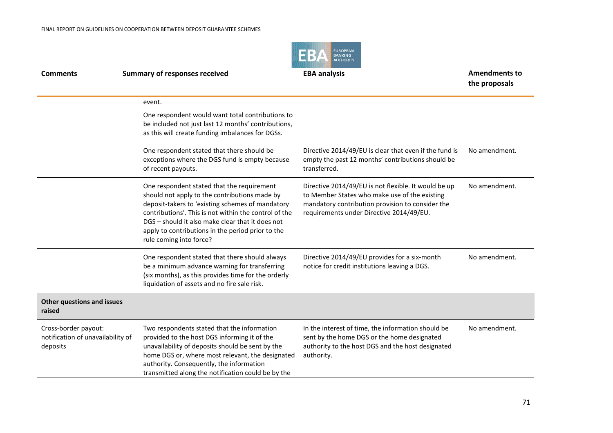

**Comments Summary of responses received EBA analysis EBA analysis Amendments to Amendments to the proposals** event. One respondent would want total contributions to be included not just last 12 months' contributions, as this will create funding imbalances for DGSs. One respondent stated that there should be exceptions where the DGS fund is empty because of recent payouts. Directive 2014/49/EU is clear that even if the fund is empty the past 12 months' contributions should be transferred. No amendment. One respondent stated that the requirement should not apply to the contributions made by deposit-takers to 'existing schemes of mandatory contributions'. This is not within the control of the DGS – should it also make clear that it does not apply to contributions in the period prior to the rule coming into force? Directive 2014/49/EU is not flexible. It would be up to Member States who make use of the existing mandatory contribution provision to consider the requirements under Directive 2014/49/EU. No amendment. One respondent stated that there should always be a minimum advance warning for transferring (six months), as this provides time for the orderly liquidation of assets and no fire sale risk. Directive 2014/49/EU provides for a six-month notice for credit institutions leaving a DGS. No amendment. **Other questions and issues raised** Cross-border payout: notification of unavailability of deposits Two respondents stated that the information provided to the host DGS informing it of the unavailability of deposits should be sent by the home DGS or, where most relevant, the designated authority. Consequently, the information transmitted along the notification could be by the In the interest of time, the information should be sent by the home DGS or the home designated authority to the host DGS and the host designated authority. No amendment.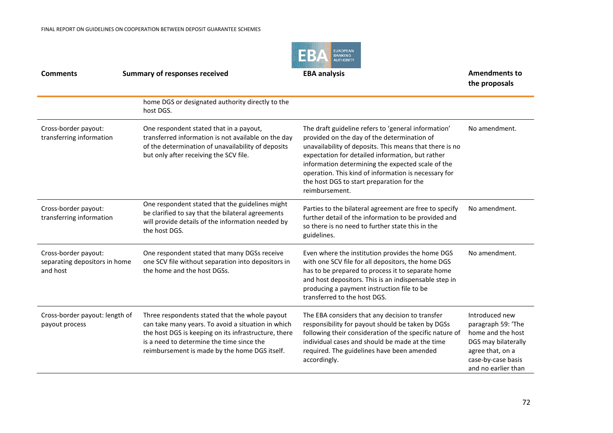

accordingly.

**Comments Summary of responses received EBA analysis EBA analysis Amendments to Amendments to the proposals** home DGS or designated authority directly to the host DGS. Cross-border payout: transferring information One respondent stated that in a payout, transferred information is not available on the day of the determination of unavailability of deposits but only after receiving the SCV file. The draft guideline refers to 'general information' provided on the day of the determination of unavailability of deposits. This means that there is no expectation for detailed information, but rather information determining the expected scale of the operation. This kind of information is necessary for the host DGS to start preparation for the reimbursement. No amendment. Cross-border payout: transferring information One respondent stated that the guidelines might be clarified to say that the bilateral agreements will provide details of the information needed by the host DGS. Parties to the bilateral agreement are free to specify further detail of the information to be provided and so there is no need to further state this in the guidelines. No amendment. Cross-border payout: separating depositors in home and host One respondent stated that many DGSs receive one SCV file without separation into depositors in the home and the host DGSs. Even where the institution provides the home DGS with one SCV file for all depositors, the home DGS has to be prepared to process it to separate home and host depositors. This is an indispensable step in producing a payment instruction file to be transferred to the host DGS. No amendment. Cross-border payout: length of payout process Three respondents stated that the whole payout can take many years. To avoid a situation in which the host DGS is keeping on its infrastructure, there is a need to determine the time since the reimbursement is made by the home DGS itself. The EBA considers that any decision to transfer responsibility for payout should be taken by DGSs following their consideration of the specific nature of individual cases and should be made at the time required. The guidelines have been amended Introduced new paragraph 59: 'The home and the host DGS may bilaterally agree that, on a

case-by-case basis and no earlier than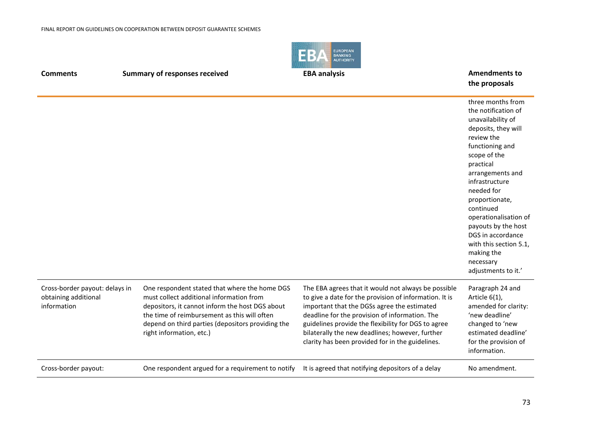

**the proposals**

|                                                                       |                                                                                                                                                                                                                                                                               |                                                                                                                                                                                                                                                                                                                                                                              | three months from<br>the notification of<br>unavailability of<br>deposits, they will<br>review the<br>functioning and<br>scope of the<br>practical<br>arrangements and<br>infrastructure<br>needed for<br>proportionate,<br>continued<br>operationalisation of<br>payouts by the host<br>DGS in accordance<br>with this section 5.1,<br>making the<br>necessary<br>adjustments to it.' |
|-----------------------------------------------------------------------|-------------------------------------------------------------------------------------------------------------------------------------------------------------------------------------------------------------------------------------------------------------------------------|------------------------------------------------------------------------------------------------------------------------------------------------------------------------------------------------------------------------------------------------------------------------------------------------------------------------------------------------------------------------------|----------------------------------------------------------------------------------------------------------------------------------------------------------------------------------------------------------------------------------------------------------------------------------------------------------------------------------------------------------------------------------------|
| Cross-border payout: delays in<br>obtaining additional<br>information | One respondent stated that where the home DGS<br>must collect additional information from<br>depositors, it cannot inform the host DGS about<br>the time of reimbursement as this will often<br>depend on third parties (depositors providing the<br>right information, etc.) | The EBA agrees that it would not always be possible<br>to give a date for the provision of information. It is<br>important that the DGSs agree the estimated<br>deadline for the provision of information. The<br>guidelines provide the flexibility for DGS to agree<br>bilaterally the new deadlines; however, further<br>clarity has been provided for in the guidelines. | Paragraph 24 and<br>Article 6(1),<br>amended for clarity:<br>'new deadline'<br>changed to 'new<br>estimated deadline'<br>for the provision of<br>information.                                                                                                                                                                                                                          |
| Cross-border payout:                                                  | One respondent argued for a requirement to notify                                                                                                                                                                                                                             | It is agreed that notifying depositors of a delay                                                                                                                                                                                                                                                                                                                            | No amendment.                                                                                                                                                                                                                                                                                                                                                                          |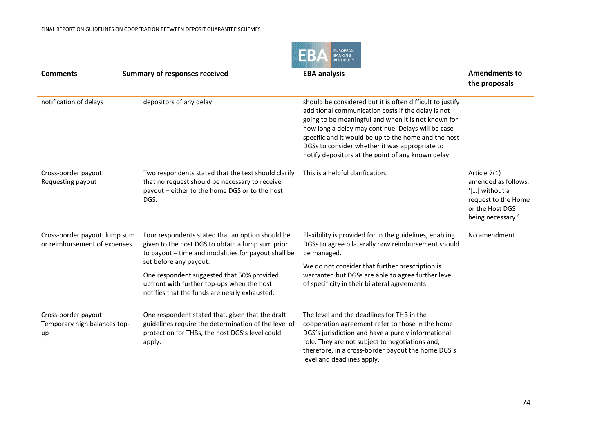

| <b>Comments</b>                                               | <b>Summary of responses received</b>                                                                                                                                                                                                                                                                                               | <b>EBA analysis</b>                                                                                                                                                                                                                                                                                                                                                                          | <b>Amendments to</b><br>the proposals                                                                               |
|---------------------------------------------------------------|------------------------------------------------------------------------------------------------------------------------------------------------------------------------------------------------------------------------------------------------------------------------------------------------------------------------------------|----------------------------------------------------------------------------------------------------------------------------------------------------------------------------------------------------------------------------------------------------------------------------------------------------------------------------------------------------------------------------------------------|---------------------------------------------------------------------------------------------------------------------|
| notification of delays                                        | depositors of any delay.                                                                                                                                                                                                                                                                                                           | should be considered but it is often difficult to justify<br>additional communication costs if the delay is not<br>going to be meaningful and when it is not known for<br>how long a delay may continue. Delays will be case<br>specific and it would be up to the home and the host<br>DGSs to consider whether it was appropriate to<br>notify depositors at the point of any known delay. |                                                                                                                     |
| Cross-border payout:<br>Requesting payout                     | Two respondents stated that the text should clarify<br>that no request should be necessary to receive<br>payout - either to the home DGS or to the host<br>DGS.                                                                                                                                                                    | This is a helpful clarification.                                                                                                                                                                                                                                                                                                                                                             | Article 7(1)<br>amended as follows:<br>'[] without a<br>request to the Home<br>or the Host DGS<br>being necessary.' |
| Cross-border payout: lump sum<br>or reimbursement of expenses | Four respondents stated that an option should be<br>given to the host DGS to obtain a lump sum prior<br>to payout - time and modalities for payout shall be<br>set before any payout.<br>One respondent suggested that 50% provided<br>upfront with further top-ups when the host<br>notifies that the funds are nearly exhausted. | Flexibility is provided for in the guidelines, enabling<br>DGSs to agree bilaterally how reimbursement should<br>be managed.<br>We do not consider that further prescription is<br>warranted but DGSs are able to agree further level<br>of specificity in their bilateral agreements.                                                                                                       | No amendment.                                                                                                       |
| Cross-border payout:<br>Temporary high balances top-<br>up    | One respondent stated that, given that the draft<br>guidelines require the determination of the level of<br>protection for THBs, the host DGS's level could<br>apply.                                                                                                                                                              | The level and the deadlines for THB in the<br>cooperation agreement refer to those in the home<br>DGS's jurisdiction and have a purely informational<br>role. They are not subject to negotiations and,<br>therefore, in a cross-border payout the home DGS's<br>level and deadlines apply.                                                                                                  |                                                                                                                     |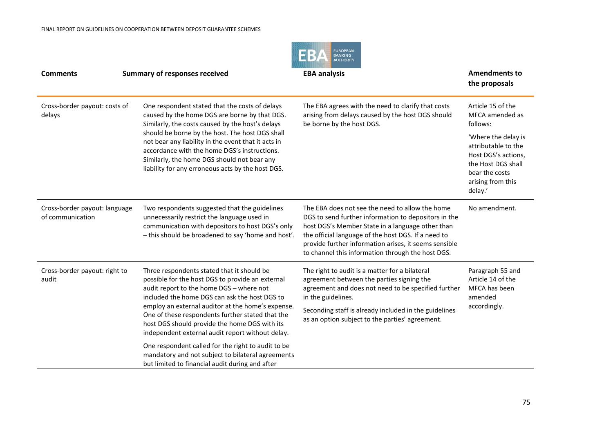

## **Comments Summary of responses received EBA analysis EBA analysis Amendments to the proposals**

| Cross-border payout: costs of<br>delays           | One respondent stated that the costs of delays<br>caused by the home DGS are borne by that DGS.<br>Similarly, the costs caused by the host's delays<br>should be borne by the host. The host DGS shall<br>not bear any liability in the event that it acts in<br>accordance with the home DGS's instructions.<br>Similarly, the home DGS should not bear any<br>liability for any erroneous acts by the host DGS. | The EBA agrees with the need to clarify that costs<br>arising from delays caused by the host DGS should<br>be borne by the host DGS.                                                                                                                                                                                             | Article 15 of the<br>MFCA amended as<br>follows:                                                                                          |
|---------------------------------------------------|-------------------------------------------------------------------------------------------------------------------------------------------------------------------------------------------------------------------------------------------------------------------------------------------------------------------------------------------------------------------------------------------------------------------|----------------------------------------------------------------------------------------------------------------------------------------------------------------------------------------------------------------------------------------------------------------------------------------------------------------------------------|-------------------------------------------------------------------------------------------------------------------------------------------|
|                                                   |                                                                                                                                                                                                                                                                                                                                                                                                                   |                                                                                                                                                                                                                                                                                                                                  | 'Where the delay is<br>attributable to the<br>Host DGS's actions,<br>the Host DGS shall<br>bear the costs<br>arising from this<br>delay.' |
| Cross-border payout: language<br>of communication | Two respondents suggested that the guidelines<br>unnecessarily restrict the language used in<br>communication with depositors to host DGS's only<br>- this should be broadened to say 'home and host'.                                                                                                                                                                                                            | The EBA does not see the need to allow the home<br>DGS to send further information to depositors in the<br>host DGS's Member State in a language other than<br>the official language of the host DGS. If a need to<br>provide further information arises, it seems sensible<br>to channel this information through the host DGS. | No amendment.                                                                                                                             |
| Cross-border payout: right to<br>audit            | Three respondents stated that it should be<br>possible for the host DGS to provide an external<br>audit report to the home DGS - where not<br>included the home DGS can ask the host DGS to<br>employ an external auditor at the home's expense.<br>One of these respondents further stated that the<br>host DGS should provide the home DGS with its<br>independent external audit report without delay.         | The right to audit is a matter for a bilateral<br>agreement between the parties signing the<br>agreement and does not need to be specified further<br>in the guidelines.                                                                                                                                                         | Paragraph 55 and<br>Article 14 of the<br>MFCA has been<br>amended<br>accordingly.                                                         |
|                                                   |                                                                                                                                                                                                                                                                                                                                                                                                                   | Seconding staff is already included in the guidelines<br>as an option subject to the parties' agreement.                                                                                                                                                                                                                         |                                                                                                                                           |
|                                                   | One respondent called for the right to audit to be<br>mandatory and not subject to bilateral agreements<br>but limited to financial audit during and after                                                                                                                                                                                                                                                        |                                                                                                                                                                                                                                                                                                                                  |                                                                                                                                           |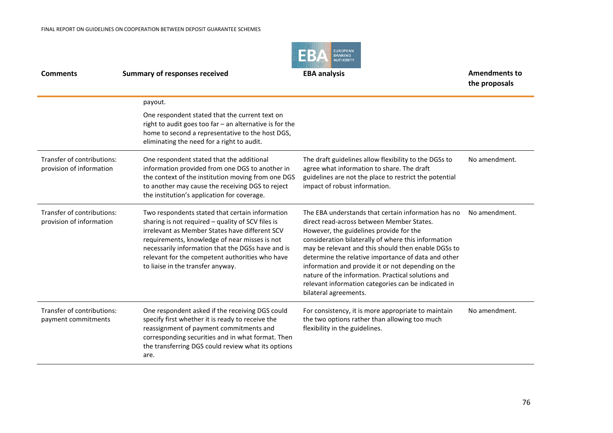

**Comments Summary of responses received EBA analysis EBA analysis Amendments to Amendments to the proposals** payout. One respondent stated that the current text on right to audit goes too far – an alternative is for the home to second a representative to the host DGS, eliminating the need for a right to audit. Transfer of contributions: provision of information One respondent stated that the additional information provided from one DGS to another in the context of the institution moving from one DGS to another may cause the receiving DGS to reject the institution's application for coverage. The draft guidelines allow flexibility to the DGSs to agree what information to share. The draft guidelines are not the place to restrict the potential impact of robust information. No amendment. Transfer of contributions: provision of information Two respondents stated that certain information sharing is not required – quality of SCV files is irrelevant as Member States have different SCV requirements, knowledge of near misses is not necessarily information that the DGSs have and is relevant for the competent authorities who have to liaise in the transfer anyway. The EBA understands that certain information has no No amendment. direct read-across between Member States. However, the guidelines provide for the consideration bilaterally of where this information may be relevant and this should then enable DGSs to determine the relative importance of data and other information and provide it or not depending on the nature of the information. Practical solutions and relevant information categories can be indicated in bilateral agreements. Transfer of contributions: payment commitments One respondent asked if the receiving DGS could specify first whether it is ready to receive the reassignment of payment commitments and corresponding securities and in what format. Then the transferring DGS could review what its options are. For consistency, it is more appropriate to maintain the two options rather than allowing too much flexibility in the guidelines. No amendment.